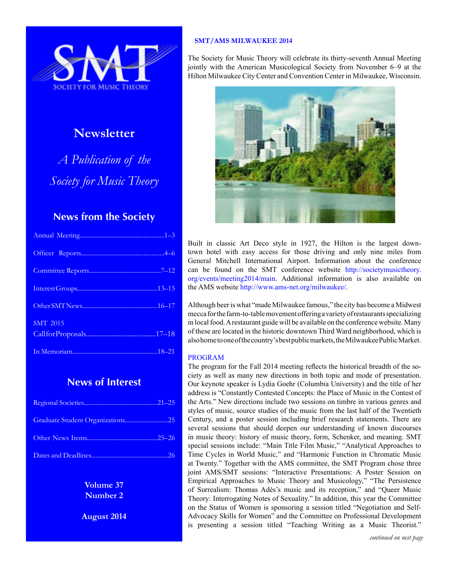

# **Newsletter**

*A Publication of the Society for Music Theory*

# **News from the Society**

| <b>SMT 2015</b> |
|-----------------|
|                 |
|                 |

# **News of Interest**

| Graduate Student Organizations25 |  |
|----------------------------------|--|
|                                  |  |
|                                  |  |

**Volume 37 Number 2**

**August 2014**

# **SMT/AMS MILWAUKEE 2014**

The Society for Music Theory will celebrate its thirty-seventh Annual Meeting jointly with the American Musicological Society from November 6–9 at the Hilton Milwaukee City Center and Convention Center in Milwaukee, Wisconsin.



Built in classic Art Deco style in 1927, the Hilton is the largest downtown hotel with easy access for those driving and only nine miles from General Mitchell International Airport. Information about the conference can be found on the SMT conference website [http://societymusictheory.](http://societymusictheory.org/events/meeting2014/main) [org/events/meeting2014/main.](http://societymusictheory.org/events/meeting2014/main) Additional information is also available on the AMS website [http://www.ams-net.org/milwaukee/.](http://www.ams-net.org/milwaukee/)

Although beer is what "made Milwaukee famous," the city has become a Midwest mecca for the farm-to-table movement offering a variety of restaurants specializing in local food. A restaurant guide will be available on the conference website. Many of these are located in the historic downtown Third Ward neighborhood, which is also home to one of the country's best public markets, the Milwaukee Public Market.

# PROGRAM

The program for the Fall 2014 meeting reflects the historical breadth of the society as well as many new directions in both topic and mode of presentation. Our keynote speaker is Lydia Goehr (Columbia University) and the title of her address is "Constantly Contested Concepts: the Place of Music in the Contest of the Arts." New directions include two sessions on timbre in various genres and styles of music, source studies of the music from the last half of the Twentieth Century, and a poster session including brief research statements. There are several sessions that should deepen our understanding of known discourses in music theory: history of music theory, form, Schenker, and meaning. SMT special sessions include: "Main Title Film Music," "Analytical Approaches to Time Cycles in World Music," and "Harmonic Function in Chromatic Music at Twenty." Together with the AMS committee, the SMT Program chose three joint AMS/SMT sessions: "Interactive Presentations: A Poster Session on Empirical Approaches to Music Theory and Musicology," "The Persistence of Surrealism: Thomas Adès's music and its reception," and "Queer Music Theory: Interrogating Notes of Sexuality." In addition, this year the Committee on the Status of Women is sponsoring a session titled "Negotiation and Self-Advocacy Skills for Women" and the Committee on Professional Development is presenting a session titled "Teaching Writing as a Music Theorist."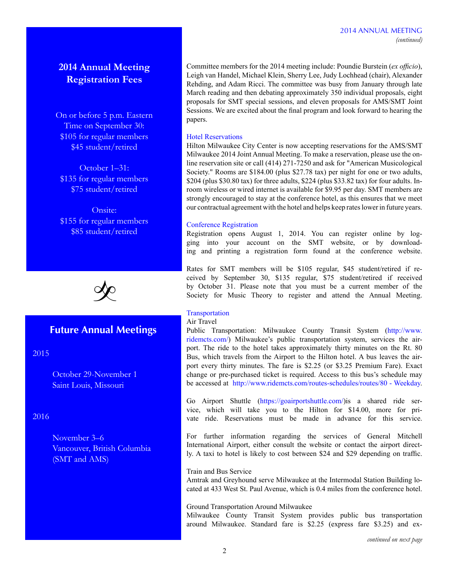# 2014 ANNUAL MEETING *(continued)*

# **2014 Annual Meeting Registration Fees**

On or before 5 p.m. Eastern Time on September 30: \$105 for regular members \$45 student/retired

October 1–31: \$135 for regular members \$75 student/retired

Onsite: \$155 for regular members \$85 student/retired



# **Future Annual Meetings**

2015

October 29-November 1 Saint Louis, Missouri

# 2016

November 3–6 Vancouver, British Columbia (SMT and AMS)

Committee members for the 2014 meeting include: Poundie Burstein (*ex officio*), Leigh van Handel, Michael Klein, Sherry Lee, Judy Lochhead (chair), Alexander Rehding, and Adam Ricci. The committee was busy from January through late March reading and then debating approximately 350 individual proposals, eight proposals for SMT special sessions, and eleven proposals for AMS/SMT Joint Sessions. We are excited about the final program and look forward to hearing the papers.

# Hotel Reservations

Hilton Milwaukee City Center is now accepting reservations for the AMS/SMT Milwaukee 2014 Joint Annual Meeting. To make a reservation, please use the online reservation site or call (414) 271-7250 and ask for "American Musicological Society." Rooms are \$184.00 (plus \$27.78 tax) per night for one or two adults, \$204 (plus \$30.80 tax) for three adults, \$224 (plus \$33.82 tax) for four adults. Inroom wireless or wired internet is available for \$9.95 per day. SMT members are strongly encouraged to stay at the conference hotel, as this ensures that we meet our contractual agreement with the hotel and helps keep rates lower in future years.

# Conference Registration

Registration opens August 1, 2014. You can register online by logging into your account on the SMT website, or by downloading and printing a registration form found at the conference website.

Rates for SMT members will be \$105 regular, \$45 student/retired if received by September 30, \$135 regular, \$75 student/retired if received by October 31. Please note that you must be a current member of the Society for Music Theory to register and attend the Annual Meeting.

# **Transportation**

# Air Travel

Public Transportation: Milwaukee County Transit System ([http://www.](http://www.ridemcts.com/) [ridemcts.com/](http://www.ridemcts.com/)) Milwaukee's public transportation system, services the airport. The ride to the hotel takes approximately thirty minutes on the Rt. 80 Bus, which travels from the Airport to the Hilton hotel. A bus leaves the airport every thirty minutes. The fare is \$2.25 (or \$3.25 Premium Fare). Exact change or pre-purchased ticket is required. Access to this bus's schedule may be accessed at [http://www.ridemcts.com/routes-schedules/routes/80 - Weekday.](http://www.ridemcts.com/routes-schedules/routes/80%20-%20Weekday)

Go Airport Shuttle (<https://goairportshuttle.com/>)is a shared ride service, which will take you to the Hilton for \$14.00, more for private ride. Reservations must be made in advance for this service.

For further information regarding the services of General Mitchell International Airport, either consult the website or contact the airport directly. A taxi to hotel is likely to cost between \$24 and \$29 depending on traffic.

Train and Bus Service Amtrak and Greyhound serve Milwaukee at the Intermodal Station Building located at 433 West St. Paul Avenue, which is 0.4 miles from the conference hotel.

Ground Transportation Around Milwaukee Milwaukee County Transit System provides public bus transportation around Milwaukee. Standard fare is \$2.25 (express fare \$3.25) and ex-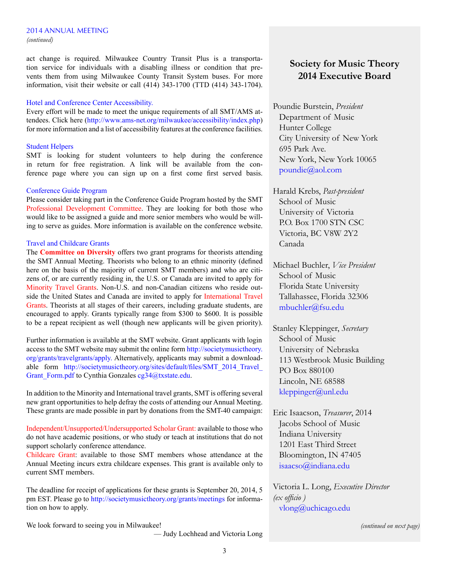# 2014 ANNUAL MEETING

*(continued)*

act change is required. Milwaukee Country Transit Plus is a transportation service for individuals with a disabling illness or condition that prevents them from using Milwaukee County Transit System buses. For more information, visit their website or call (414) 343-1700 (TTD (414) 343-1704).

# Hotel and Conference Center Accessibility.

Every effort will be made to meet the unique requirements of all SMT/AMS attendees. Click here ([http://www.ams-net.org/milwaukee/accessibility/index.php\)](http://www.ams-net.org/milwaukee/accessibility/index.php) for more information and a list of accessibility features at the conference facilities.

# Student Helpers

SMT is looking for student volunteers to help during the conference in return for free registration. A link will be available from the conference page where you can sign up on a first come first served basis.

# Conference Guide Program

Please consider taking part in the Conference Guide Program hosted by the SMT Professional Development Committee. They are looking for both those who would like to be assigned a guide and more senior members who would be willing to serve as guides. More information is available on the conference website.

# Travel and Childcare Grants

The **Committee on Diversity** offers two grant programs for theorists attending the SMT Annual Meeting. Theorists who belong to an ethnic minority (defined here on the basis of the majority of current SMT members) and who are citizens of, or are currently residing in, the U.S. or Canada are invited to apply for Minority Travel Grants. Non-U.S. and non-Canadian citizens who reside outside the United States and Canada are invited to apply for International Travel Grants. Theorists at all stages of their careers, including graduate students, are encouraged to apply. Grants typically range from \$300 to \$600. It is possible to be a repeat recipient as well (though new applicants will be given priority).

Further information is available at the SMT website. Grant applicants with login access to the SMT website may submit the online form [http://societymusictheory.](http://societymusictheory.org/grants/travelgrants/apply.) [org/grants/travelgrants/apply.](http://societymusictheory.org/grants/travelgrants/apply.) Alternatively, applicants may submit a downloadable form http://societymusictheory.org/sites/default/files/SMT\_2014\_Travel [Grant\\_Form.pdf](http://societymusictheory.org/sites/default/files/SMT_2014_Travel_Grant_Form.pdf) to Cynthia Gonzales [cg34@txstate.edu.](mailto:cg34%40txstate.edu?subject=)

In addition to the Minority and International travel grants, SMT is offering several new grant opportunities to help defray the costs of attending our Annual Meeting. These grants are made possible in part by donations from the SMT-40 campaign:

Independent/Unsupported/Undersupported Scholar Grant: available to those who do not have academic positions, or who study or teach at institutions that do not support scholarly conference attendance.

Childcare Grant: available to those SMT members whose attendance at the Annual Meeting incurs extra childcare expenses. This grant is available only to current SMT members.

The deadline for receipt of applications for these grants is September 20, 2014, 5 pm EST. Please go to [http://societymusictheory.org/grants/meetings](%20http://societymusictheory.org/grants/meetings) for information on how to apply.

We look forward to seeing you in Milwaukee!

— Judy Lochhead and Victoria Long

# **Society for Music Theory 2014 Executive Board**

Poundie Burstein, *President* Department of Music Hunter College City University of New York 695 Park Ave. New York, New York 10065 [poundie@aol.com](mailto:poundie%40aol.com?subject=)

Harald Krebs, *Past-president* School of Music University of Victoria P.O. Box 1700 STN CSC Victoria, BC V8W 2Y2 Canada

Michael Buchler, *Vice President* School of Music Florida State University Tallahassee, Florida 32306 mbuchler@fsu.edu

Stanley Kleppinger, *Secretary* School of Music University of Nebraska 113 Westbrook Music Building PO Box 880100 Lincoln, NE 68588 [kleppinger@unl.edu](mailto:kleppinger%40unl.edu?subject=)

Eric Isaacson, *Treasurer*, 2014 Jacobs School of Music Indiana University 1201 East Third Street Bloomington, IN 47405 isaacso@indiana.edu

Victoria L. Long, *Executive Director (ex officio )* vlong@uchicago.edu

*(continued on next page)*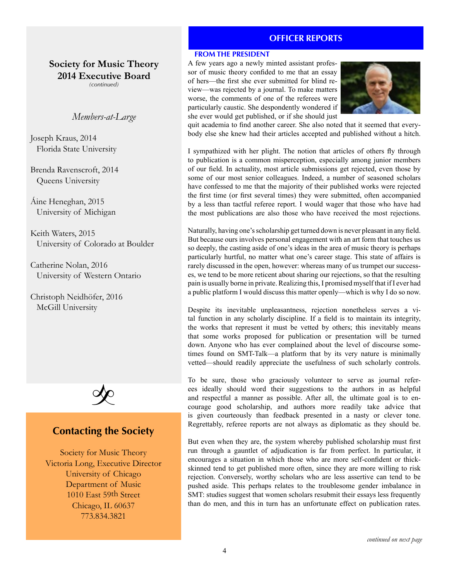# **OFFICER REPORTS**

**Society for Music Theory 2014 Executive Board**

*(continued)*

# *Members-at-Large*

Joseph Kraus, 2014 Florida State University

Brenda Ravenscroft, 2014 Queens University

Áine Heneghan, 2015 University of Michigan

Keith Waters, 2015 University of Colorado at Boulder

Catherine Nolan, 2016 University of Western Ontario

Christoph Neidhöfer, 2016 McGill University



# **Contacting the Society**

Society for Music Theory Victoria Long, Executive Director University of Chicago Department of Music 1010 East 59th Street Chicago, IL 60637 773.834.3821

**FROM THE PRESIDENT**

A few years ago a newly minted assistant professor of music theory confided to me that an essay of hers—the first she ever submitted for blind review—was rejected by a journal. To make matters worse, the comments of one of the referees were particularly caustic. She despondently wondered if she ever would get published, or if she should just



quit academia to find another career. She also noted that it seemed that everybody else she knew had their articles accepted and published without a hitch.

I sympathized with her plight. The notion that articles of others fly through to publication is a common misperception, especially among junior members of our field. In actuality, most article submissions get rejected, even those by some of our most senior colleagues. Indeed, a number of seasoned scholars have confessed to me that the majority of their published works were rejected the first time (or first several times) they were submitted, often accompanied by a less than tactful referee report. I would wager that those who have had the most publications are also those who have received the most rejections.

Naturally, having one's scholarship get turned down is never pleasant in any field. But because ours involves personal engagement with an art form that touches us so deeply, the casting aside of one's ideas in the area of music theory is perhaps particularly hurtful, no matter what one's career stage. This state of affairs is rarely discussed in the open, however: whereas many of us trumpet our successes, we tend to be more reticent about sharing our rejections, so that the resulting pain is usually borne in private. Realizing this, I promised myself that if I ever had a public platform I would discuss this matter openly—which is why I do so now.

Despite its inevitable unpleasantness, rejection nonetheless serves a vital function in any scholarly discipline. If a field is to maintain its integrity, the works that represent it must be vetted by others; this inevitably means that some works proposed for publication or presentation will be turned down. Anyone who has ever complained about the level of discourse sometimes found on SMT-Talk—a platform that by its very nature is minimally vetted—should readily appreciate the usefulness of such scholarly controls.

To be sure, those who graciously volunteer to serve as journal referees ideally should word their suggestions to the authors in as helpful and respectful a manner as possible. After all, the ultimate goal is to encourage good scholarship, and authors more readily take advice that is given courteously than feedback presented in a nasty or clever tone. Regrettably, referee reports are not always as diplomatic as they should be.

But even when they are, the system whereby published scholarship must first run through a gauntlet of adjudication is far from perfect. In particular, it encourages a situation in which those who are more self-confident or thickskinned tend to get published more often, since they are more willing to risk rejection. Conversely, worthy scholars who are less assertive can tend to be pushed aside. This perhaps relates to the troublesome gender imbalance in SMT: studies suggest that women scholars resubmit their essays less frequently than do men, and this in turn has an unfortunate effect on publication rates.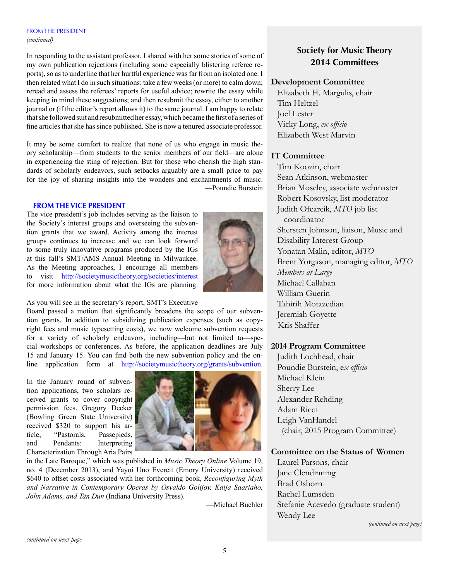# FROM THE PRESIDENT *(continued)*

In responding to the assistant professor, I shared with her some stories of some of my own publication rejections (including some especially blistering referee reports), so as to underline that her hurtful experience was far from an isolated one. I then related what I do in such situations: take a few weeks (or more) to calm down; reread and assess the referees' reports for useful advice; rewrite the essay while keeping in mind these suggestions; and then resubmit the essay, either to another journal or (if the editor's report allows it) to the same journal. I am happy to relate that she followed suit and resubmitted her essay, which became the first of a series of fine articles that she has since published. She is now a tenured associate professor.

It may be some comfort to realize that none of us who engage in music theory scholarship—from students to the senior members of our field—are alone in experiencing the sting of rejection. But for those who cherish the high standards of scholarly endeavors, such setbacks arguably are a small price to pay for the joy of sharing insights into the wonders and enchantments of music. —Poundie Burstein

# **FROM THE VICE PRESIDENT**

The vice president's job includes serving as the liaison to the Society's interest groups and overseeing the subvention grants that we award. Activity among the interest groups continues to increase and we can look forward to some truly innovative programs produced by the IGs at this fall's SMT/AMS Annual Meeting in Milwaukee. As the Meeting approaches, I encourage all members to visit <http://societymusictheory.org/societies/interest> for more information about what the IGs are planning.



# As you will see in the secretary's report, SMT's Executive

Board passed a motion that significantly broadens the scope of our subvention grants. In addition to subsidizing publication expenses (such as copyright fees and music typesetting costs), we now welcome subvention requests for a variety of scholarly endeavors, including—but not limited to—special workshops or conferences. As before, the application deadlines are July 15 and January 15. You can find both the new subvention policy and the online application form at <http://societymusictheory.org/grants/subvention>.

In the January round of subvention applications, two scholars received grants to cover copyright permission fees. Gregory Decker (Bowling Green State University) received \$320 to support his article, "Pastorals, Passepieds, and Pendants: Interpreting Characterization Through Aria Pairs



in the Late Baroque," which was published in *Music Theory Online* Volume 19, no. 4 (December 2013), and Yayoi Uno Everett (Emory University) received \$640 to offset costs associated with her forthcoming book, *Reconfiguring Myth and Narrative in Contemporary Operas by Osvaldo Golijov, Kaija Saariaho, John Adams, and Tan Dun* (Indiana University Press).

—Michael Buchler

# **Society for Music Theory 2014 Committees**

# **Development Committee**

Elizabeth H. Margulis, chair Tim Heltzel Joel Lester Vicky Long, *ex officio* Elizabeth West Marvin

# **IT Committee**

Tim Koozin, chair Sean Atkinson, webmaster Brian Moseley, associate webmaster Robert Kosovsky, list moderator Judith Ofcarcik, *MTO* job list coordinator Shersten Johnson, liaison, Music and Disability Interest Group Yonatan Malin, editor, *MTO* Brent Yorgason, managing editor, *MTO Members-at-Large* Michael Callahan William Guerin Tahirih Motazedian Jeremiah Goyette Kris Shaffer

# **2014 Program Committee**

Judith Lochhead, chair Poundie Burstein, e*x officio* Michael Klein Sherry Lee Alexander Rehding Adam Ricci Leigh VanHandel (chair, 2015 Program Committee)

# **Committee on the Status of Women**

Laurel Parsons, chair Jane Clendinning Brad Osborn Rachel Lumsden Stefanie Acevedo (graduate student) Wendy Lee

*(continued on next page)*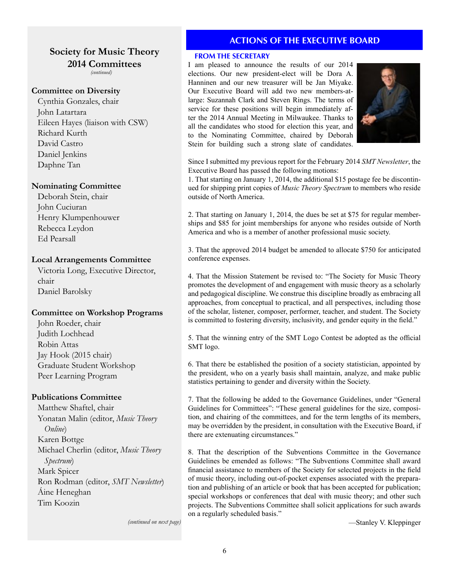# **Society for Music Theory 2014 Committees**

*(continued)*

# **Committee on Diversity**

Cynthia Gonzales, chair John Latartara Eileen Hayes (liaison with CSW) Richard Kurth David Castro Daniel Jenkins Daphne Tan

# **Nominating Committee**

Deborah Stein, chair John Cuciuran Henry Klumpenhouwer Rebecca Leydon Ed Pearsall

# **Local Arrangements Committee**

Victoria Long, Executive Director, chair Daniel Barolsky

# **Committee on Workshop Programs**

John Roeder, chair Judith Lochhead Robin Attas Jay Hook (2015 chair) Graduate Student Workshop Peer Learning Program

# **Publications Committee**

Matthew Shaftel, chair Yonatan Malin (editor, *Music Theory Online*) Karen Bottge Michael Cherlin (editor, *Music Theory Spectrum*) Mark Spicer Ron Rodman (editor, *SMT Newsletter*) Áine Heneghan Tim Koozin

# **ACTIONS OF THE EXECUTIVE BOARD**

# **FROM THE SECRETARY**

I am pleased to announce the results of our 2014 elections. Our new president-elect will be Dora A. Hanninen and our new treasurer will be Jan Miyake. Our Executive Board will add two new members-atlarge: Suzannah Clark and Steven Rings. The terms of service for these positions will begin immediately after the 2014 Annual Meeting in Milwaukee. Thanks to all the candidates who stood for election this year, and to the Nominating Committee, chaired by Deborah Stein for building such a strong slate of candidates.



Since I submitted my previous report for the February 2014 *SMT Newsletter*, the Executive Board has passed the following motions:

1. That starting on January 1, 2014, the additional \$15 postage fee be discontinued for shipping print copies of *Music Theory Spectrum* to members who reside outside of North America.

2. That starting on January 1, 2014, the dues be set at \$75 for regular memberships and \$85 for joint memberships for anyone who resides outside of North America and who is a member of another professional music society.

3. That the approved 2014 budget be amended to allocate \$750 for anticipated conference expenses.

4. That the Mission Statement be revised to: "The Society for Music Theory promotes the development of and engagement with music theory as a scholarly and pedagogical discipline. We construe this discipline broadly as embracing all approaches, from conceptual to practical, and all perspectives, including those of the scholar, listener, composer, performer, teacher, and student. The Society is committed to fostering diversity, inclusivity, and gender equity in the field."

5. That the winning entry of the SMT Logo Contest be adopted as the official SMT logo.

6. That there be established the position of a society statistician, appointed by the president, who on a yearly basis shall maintain, analyze, and make public statistics pertaining to gender and diversity within the Society.

7. That the following be added to the Governance Guidelines, under "General Guidelines for Committees": "These general guidelines for the size, composition, and chairing of the committees, and for the term lengths of its members, may be overridden by the president, in consultation with the Executive Board, if there are extenuating circumstances."

8. That the description of the Subventions Committee in the Governance Guidelines be emended as follows: "The Subventions Committee shall award financial assistance to members of the Society for selected projects in the field of music theory, including out-of-pocket expenses associated with the preparation and publishing of an article or book that has been accepted for publication; special workshops or conferences that deal with music theory; and other such projects. The Subventions Committee shall solicit applications for such awards on a regularly scheduled basis."

*(continued on next page)*

—Stanley V. Kleppinger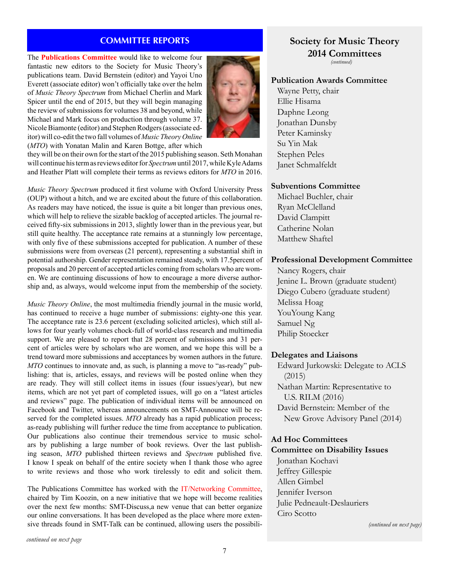# **COMMITTEE REPORTS**

The **Publications Committee** would like to welcome four fantastic new editors to the Society for Music Theory's publications team. David Bernstein (editor) and Yayoi Uno Everett (associate editor) won't officially take over the helm of *Music Theory Spectrum* from Michael Cherlin and Mark Spicer until the end of 2015, but they will begin managing the review of submissions for volumes 38 and beyond, while Michael and Mark focus on production through volume 37. Nicole Biamonte (editor) and Stephen Rodgers (associate editor) will co-edit the two fall volumes of *Music Theory Online* (*MTO*) with Yonatan Malin and Karen Bottge, after which



they will be on their own for the start of the 2015 publishing season. Seth Monahan will continue his term as reviews editor for *Spectrum* until 2017, while Kyle Adams and Heather Platt will complete their terms as reviews editors for *MTO* in 2016.

*Music Theory Spectrum* produced it first volume with Oxford University Press (OUP) without a hitch, and we are excited about the future of this collaboration. As readers may have noticed, the issue is quite a bit longer than previous ones, which will help to relieve the sizable backlog of accepted articles. The journal received fifty-six submissions in 2013, slightly lower than in the previous year, but still quite healthy. The acceptance rate remains at a stunningly low percentage, with only five of these submissions accepted for publication. A number of these submissions were from overseas (21 percent), representing a substantial shift in potential authorship. Gender representation remained steady, with 17.5percent of proposals and 20 percent of accepted articles coming from scholars who are women. We are continuing discussions of how to encourage a more diverse authorship and, as always, would welcome input from the membership of the society.

*Music Theory Online*, the most multimedia friendly journal in the music world, has continued to receive a huge number of submissions: eighty-one this year. The acceptance rate is 23.6 percent (excluding solicited articles), which still allows for four yearly volumes chock-full of world-class research and multimedia support. We are pleased to report that 28 percent of submissions and 31 percent of articles were by scholars who are women, and we hope this will be a trend toward more submissions and acceptances by women authors in the future. *MTO* continues to innovate and, as such, is planning a move to "as-ready" publishing: that is, articles, essays, and reviews will be posted online when they are ready. They will still collect items in issues (four issues/year), but new items, which are not yet part of completed issues, will go on a "latest articles and reviews" page. The publication of individual items will be announced on Facebook and Twitter, whereas announcements on SMT-Announce will be reserved for the completed issues. *MTO* already has a rapid publication process; as-ready publishing will further reduce the time from acceptance to publication. Our publications also continue their tremendous service to music scholars by publishing a large number of book reviews. Over the last publishing season, *MTO* published thirteen reviews and *Spectrum* published five. I know I speak on behalf of the entire society when I thank those who agree to write reviews and those who work tirelessly to edit and solicit them.

The Publications Committee has worked with the IT/Networking Committee, chaired by Tim Koozin, on a new initiative that we hope will become realities over the next few months: SMT-Discuss,a new venue that can better organize our online conversations. It has been developed as the place where more extensive threads found in SMT-Talk can be continued, allowing users the possibili-

# **Society for Music Theory 2014 Committees** *(continued)*

# **Publication Awards Committee**

Wayne Petty, chair Ellie Hisama Daphne Leong Jonathan Dunsby Peter Kaminsky Su Yin Mak Stephen Peles Janet Schmalfeldt

# **Subventions Committee**

Michael Buchler, chair Ryan McClelland David Clampitt Catherine Nolan Matthew Shaftel

# **Professional Development Committee**

Nancy Rogers, chair Jenine L. Brown (graduate student) Diego Cubero (graduate student) Melissa Hoag YouYoung Kang Samuel Ng Philip Stoecker

# **Delegates and Liaisons**

Edward Jurkowski: Delegate to ACLS (2015) Nathan Martin: Representative to U.S. RILM (2016) David Bernstein: Member of the New Grove Advisory Panel (2014)

# **Ad Hoc Committees**

# **Committee on Disability Issues**

Jonathan Kochavi Jeffrey Gillespie Allen Gimbel Jennifer Iverson Julie Pedneault-Deslauriers Ciro Scotto

*(continued on next page)*

*continued on next page*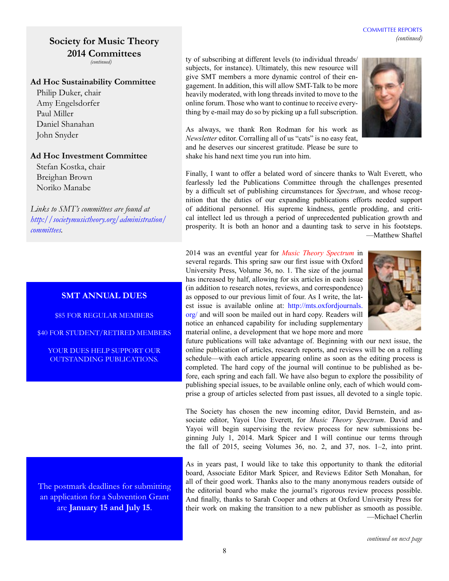# **Society for Music Theory 2014 Committees** *(continued)*

# **Ad Hoc Sustainability Committee**

Philip Duker, chair Amy Engelsdorfer Paul Miller Daniel Shanahan John Snyder

# **Ad Hoc Investment Committee**

Stefan Kostka, chair Breighan Brown Noriko Manabe

*Links to SMT's committees are found at [http://societymusictheory.org/administration/](Links to SMT�s committees are found at http://societymusictheory.org/ administration/committees.) [committees](Links to SMT�s committees are found at http://societymusictheory.org/ administration/committees.).*

# **SMT ANNUAL DUES**

\$85 FOR REGULAR MEMBERS

\$40 FOR STUDENT/RETIRED MEMBERS

YOUR DUES HELP SUPPORT OUR OUTSTANDING PUBLICATIONS.

The postmark deadlines for submitting an application for a Subvention Grant are **January 15 and July 15**.

ty of subscribing at different levels (to individual threads/ subjects, for instance). Ultimately, this new resource will give SMT members a more dynamic control of their engagement. In addition, this will allow SMT-Talk to be more heavily moderated, with long threads invited to move to the online forum. Those who want to continue to receive everything by e-mail may do so by picking up a full subscription.

As always, we thank Ron Rodman for his work as *Newsletter* editor. Corralling all of us "cats" is no easy feat, and he deserves our sincerest gratitude. Please be sure to shake his hand next time you run into him.



COMMITTEE REPORTS

Finally, I want to offer a belated word of sincere thanks to Walt Everett, who fearlessly led the Publications Committee through the challenges presented by a difficult set of publishing circumstances for *Spectrum*, and whose recognition that the duties of our expanding publications efforts needed support of additional personnel. His supreme kindness, gentle prodding, and critical intellect led us through a period of unprecedented publication growth and prosperity. It is both an honor and a daunting task to serve in his footsteps. —Matthew Shaftel

2014 was an eventful year for *Music Theory Spectrum* in several regards. This spring saw our first issue with Oxford University Press, Volume 36, no. 1. The size of the journal has increased by half, allowing for six articles in each issue (in addition to research notes, reviews, and correspondence) as opposed to our previous limit of four. As I write, the latest issue is available online at: [http://mts.oxfordjournals.](http://mts.oxfordjournals.org/) [org/](http://mts.oxfordjournals.org/) and will soon be mailed out in hard copy. Readers will notice an enhanced capability for including supplementary material online, a development that we hope more and more



future publications will take advantage of. Beginning with our next issue, the online publication of articles, research reports, and reviews will be on a rolling schedule—with each article appearing online as soon as the editing process is completed. The hard copy of the journal will continue to be published as before, each spring and each fall. We have also begun to explore the possibility of publishing special issues, to be available online only, each of which would comprise a group of articles selected from past issues, all devoted to a single topic.

The Society has chosen the new incoming editor, David Bernstein, and associate editor, Yayoi Uno Everett, for *Music Theory Spectrum*. David and Yayoi will begin supervising the review process for new submissions beginning July 1, 2014. Mark Spicer and I will continue our terms through the fall of 2015, seeing Volumes 36, no. 2, and 37, nos. 1–2, into print.

As in years past, I would like to take this opportunity to thank the editorial board, Associate Editor Mark Spicer, and Reviews Editor Seth Monahan, for all of their good work. Thanks also to the many anonymous readers outside of the editorial board who make the journal's rigorous review process possible. And finally, thanks to Sarah Cooper and others at Oxford University Press for their work on making the transition to a new publisher as smooth as possible. —Michael Cherlin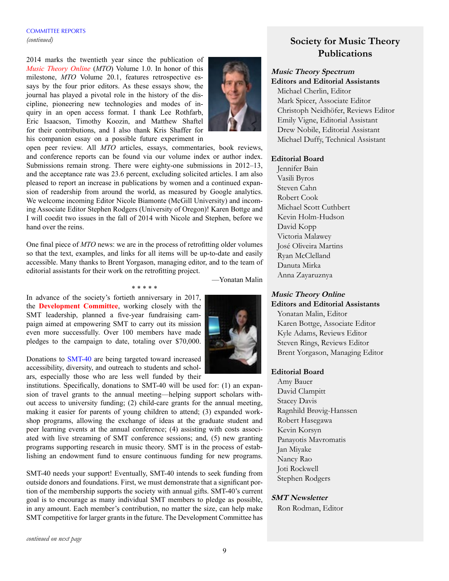# COMMITTEE REPORTS *(continued)*

2014 marks the twentieth year since the publication of *Music Theory Online* (*MTO*) Volume 1.0. In honor of this milestone, *MTO* Volume 20.1, features retrospective essays by the four prior editors. As these essays show, the journal has played a pivotal role in the history of the discipline, pioneering new technologies and modes of inquiry in an open access format. I thank Lee Rothfarb, Eric Isaacson, Timothy Koozin, and Matthew Shaftel for their contributions, and I also thank Kris Shaffer for his companion essay on a possible future experiment in



open peer review. All *MTO* articles, essays, commentaries, book reviews, and conference reports can be found via our volume index or author index. Submissions remain strong. There were eighty-one submissions in 2012–13, and the acceptance rate was 23.6 percent, excluding solicited articles. I am also pleased to report an increase in publications by women and a continued expansion of readership from around the world, as measured by Google analytics. We welcome incoming Editor Nicole Biamonte (McGill University) and incoming Associate Editor Stephen Rodgers (University of Oregon)! Karen Bottge and I will coedit two issues in the fall of 2014 with Nicole and Stephen, before we hand over the reins.

One final piece of *MTO* news: we are in the process of retrofitting older volumes so that the text, examples, and links for all items will be up-to-date and easily accessible. Many thanks to Brent Yorgason, managing editor, and to the team of editorial assistants for their work on the retrofitting project.

\* \* \* \* \*

—Yonatan Malin

In advance of the society's fortieth anniversary in 2017, the **Development Committee**, working closely with the SMT leadership, planned a five-year fundraising campaign aimed at empowering SMT to carry out its mission even more successfully. Over 100 members have made pledges to the campaign to date, totaling over \$70,000.

Donations to SMT-40 are being targeted toward increased accessibility, diversity, and outreach to students and scholars, especially those who are less well funded by their

institutions. Specifically, donations to SMT-40 will be used for: (1) an expansion of travel grants to the annual meeting—helping support scholars without access to university funding; (2) child-care grants for the annual meeting, making it easier for parents of young children to attend; (3) expanded workshop programs, allowing the exchange of ideas at the graduate student and peer learning events at the annual conference; (4) assisting with costs associated with live streaming of SMT conference sessions; and, (5) new granting programs supporting research in music theory. SMT is in the process of establishing an endowment fund to ensure continuous funding for new programs.

SMT-40 needs your support! Eventually, SMT-40 intends to seek funding from outside donors and foundations. First, we must demonstrate that a significant portion of the membership supports the society with annual gifts. SMT-40's current goal is to encourage as many individual SMT members to pledge as possible, in any amount. Each member's contribution, no matter the size, can help make SMT competitive for larger grants in the future. The Development Committee has

# **Society for Music Theory Publications**

# **Music Theory Spectrum Editors and Editorial Assistants**

Michael Cherlin, Editor Mark Spicer, Associate Editor Christoph Neidhöfer, Reviews Editor Emily Vigne, Editorial Assistant Drew Nobile, Editorial Assistant Michael Duffy, Technical Assistant

# **Editorial Board**

Jennifer Bain Vasili Byros Steven Cahn Robert Cook Michael Scott Cuthbert Kevin Holm-Hudson David Kopp Victoria Malawey José Oliveira Martins Ryan McClelland Danuta Mirka Anna Zayaruznya

# **Music Theory Online Editors and Editorial Assistants**

Yonatan Malin, Editor Karen Bottge, Associate Editor Kyle Adams, Reviews Editor Steven Rings, Reviews Editor Brent Yorgason, Managing Editor

# **Editorial Board**

Amy Bauer David Clampitt Stacey Davis Ragnhild Brøvig-Hanssen Robert Hasegawa Kevin Korsyn Panayotis Mavromatis Jan Miyake Nancy Rao Joti Rockwell Stephen Rodgers

# **SMT Newsletter**

Ron Rodman, Editor

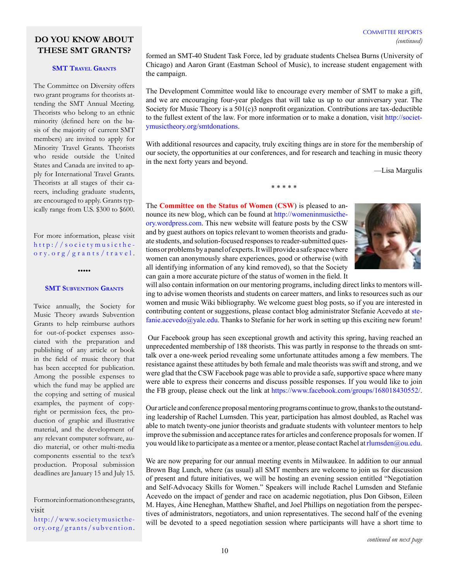# COMMITTEE REPORTS *(continued)*

# **DO YOU KNOW ABOUT THESE SMT GRANTS?**

# **SMT TRAVEL GRANTS**

The Committee on Diversity offers two grant programs for theorists attending the SMT Annual Meeting. Theorists who belong to an ethnic minority (defined here on the basis of the majority of current SMT members) are invited to apply for Minority Travel Grants. Theorists who reside outside the United States and Canada are invited to apply for International Travel Grants. Theorists at all stages of their careers, including graduate students, are encouraged to apply. Grants typically range from U.S. \$300 to \$600.

For more information, please visit [http://societymusicthe](http://societymusictheory.org/grants/travel) [ory.org/grants/travel](http://societymusictheory.org/grants/travel) .

•••••

#### **SMT SUBVENTION GRANTS**

Twice annually, the Society for Music Theory awards Subvention Grants to help reimburse authors for out-of-pocket expenses associated with the preparation and publishing of any article or book in the field of music theory that has been accepted for publication. Among the possible expenses to which the fund may be applied are the copying and setting of musical examples, the payment of copyright or permission fees, the production of graphic and illustrative material, and the development of any relevant computer software, audio material, or other multi-media components essential to the text's production. Proposal submission deadlines are January 15 and July 15.

[http://www.societymusicthe](http://societymusictheory.org/grants/travel)[ory.org/grants/subvention](http://societymusictheory.org/grants/travel) . formed an SMT-40 Student Task Force, led by graduate students Chelsea Burns (University of Chicago) and Aaron Grant (Eastman School of Music), to increase student engagement with the campaign.

The Development Committee would like to encourage every member of SMT to make a gift, and we are encouraging four-year pledges that will take us up to our anniversary year. The Society for Music Theory is a  $501(c)$ 3 nonprofit organization. Contributions are tax-deductible to the fullest extent of the law. For more information or to make a donation, visit [http://societ](http://societymusictheory.org/smtdonations)[ymusictheory.org/smtdonations.](http://societymusictheory.org/smtdonations)

With additional resources and capacity, truly exciting things are in store for the membership of our society, the opportunities at our conferences, and for research and teaching in music theory in the next forty years and beyond.

\* \* \* \* \*

—Lisa Margulis

The **Committee on the Status of Women** (**CSW**) is pleased to announce its new blog, which can be found at [http://womeninmusicthe](http://womeninmusictheory.wordpress.com)[ory.wordpress.com.](http://womeninmusictheory.wordpress.com) This new website will feature posts by the CSW and by guest authors on topics relevant to women theorists and graduate students, and solution-focused responses to reader-submitted questions or problems by a panel of experts. It will provide a safe space where women can anonymously share experiences, good or otherwise (with all identifying information of any kind removed), so that the Society can gain a more accurate picture of the status of women in the field. It



will also contain information on our mentoring programs, including direct links to mentors willing to advise women theorists and students on career matters, and links to resources such as our women and music Wiki bibliography. We welcome guest blog posts, so if you are interested in contributing content or suggestions, please contact blog administrator Stefanie Acevedo at [ste](mailto:stefanie.acevedo%40yale.edu?subject=)[fanie.acevedo@yale.edu.](mailto:stefanie.acevedo%40yale.edu?subject=) Thanks to Stefanie for her work in setting up this exciting new forum!

 Our Facebook group has seen exceptional growth and activity this spring, having reached an unprecedented membership of 188 theorists. This was partly in response to the threads on smttalk over a one-week period revealing some unfortunate attitudes among a few members. The resistance against these attitudes by both female and male theorists was swift and strong, and we were glad that the CSW Facebook page was able to provide a safe, supportive space where many were able to express their concerns and discuss possible responses. If you would like to join the FB group, please check out the link at [https://www.facebook.com/groups/168018430552/.](https://www.facebook.com/groups/168018430552/)

Our article and conference proposal mentoring programs continue to grow, thanks to the outstanding leadership of Rachel Lumsden. This year, participation has almost doubled, as Rachel was able to match twenty-one junior theorists and graduate students with volunteer mentors to help improve the submission and acceptance rates for articles and conference proposals for women. If you would like to participate as a mentee or a mentor, please contact Rachel at [rlumsden@ou.edu.](mailto:rlumsden%40ou.edu?subject=)

We are now preparing for our annual meeting events in Milwaukee. In addition to our annual Brown Bag Lunch, where (as usual) all SMT members are welcome to join us for discussion of present and future initiatives, we will be hosting an evening session entitled "Negotiation and Self-Advocacy Skills for Women." Speakers will include Rachel Lumsden and Stefanie Acevedo on the impact of gender and race on academic negotiation, plus Don Gibson, Eileen M. Hayes, Áine Heneghan, Matthew Shaftel, and Joel Phillips on negotiation from the perspectives of administrators, negotiators, and union representatives. The second half of the evening will be devoted to a speed negotiation session where participants will have a short time to

For more information on these grants, visit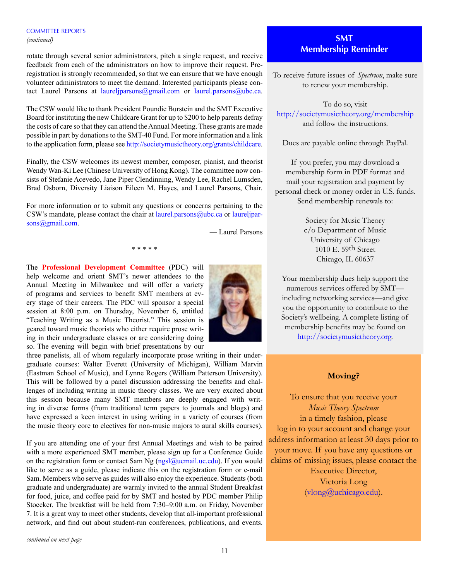# COMMITTEE REPORTS *(continued)*

rotate through several senior administrators, pitch a single request, and receive feedback from each of the administrators on how to improve their request. Preregistration is strongly recommended, so that we can ensure that we have enough volunteer administrators to meet the demand. Interested participants please contact Laurel Parsons at laureliparsons@gmail.com or [laurel.parsons@ubc.ca.](mailto:laurel.parsons%40ubc.ca?subject=)

The CSW would like to thank President Poundie Burstein and the SMT Executive Board for instituting the new Childcare Grant for up to \$200 to help parents defray the costs of care so that they can attend the Annual Meeting. These grants are made possible in part by donations to the SMT-40 Fund. For more information and a link to the application form, please see [http://societymusictheory.org/grants/childcare.](http://societymusictheory.org/grants/childcare)

Finally, the CSW welcomes its newest member, composer, pianist, and theorist Wendy Wan-Ki Lee (Chinese University of Hong Kong). The committee now consists of Stefanie Acevedo, Jane Piper Clendinning, Wendy Lee, Rachel Lumsden, Brad Osborn, Diversity Liaison Eileen M. Hayes, and Laurel Parsons, Chair.

For more information or to submit any questions or concerns pertaining to the CSW's mandate, please contact the chair at [laurel.parsons@ubc.ca](laurel.parsons%40ubc.ca) or [laureljpar](mailto:laureljparsons%40gmail.com?subject=)[sons@gmail.com](mailto:laureljparsons%40gmail.com?subject=).

— Laurel Parsons

\* \* \* \* \*

The **Professional Development Committee** (PDC) will help welcome and orient SMT's newer attendees to the Annual Meeting in Milwaukee and will offer a variety of programs and services to benefit SMT members at every stage of their careers. The PDC will sponsor a special session at 8:00 p.m. on Thursday, November 6, entitled "Teaching Writing as a Music Theorist." This session is geared toward music theorists who either require prose writing in their undergraduate classes or are considering doing so. The evening will begin with brief presentations by our

three panelists, all of whom regularly incorporate prose writing in their undergraduate courses: Walter Everett (University of Michigan), William Marvin (Eastman School of Music), and Lynne Rogers (William Patterson University). This will be followed by a panel discussion addressing the benefits and challenges of including writing in music theory classes. We are very excited about this session because many SMT members are deeply engaged with writing in diverse forms (from traditional term papers to journals and blogs) and have expressed a keen interest in using writing in a variety of courses (from the music theory core to electives for non-music majors to aural skills courses).

If you are attending one of your first Annual Meetings and wish to be paired with a more experienced SMT member, please sign up for a Conference Guide on the registration form or contact Sam Ng  $(ngs]$ @ucmail.uc.edu). If you would like to serve as a guide, please indicate this on the registration form or e-mail Sam. Members who serve as guides will also enjoy the experience. Students (both graduate and undergraduate) are warmly invited to the annual Student Breakfast for food, juice, and coffee paid for by SMT and hosted by PDC member Philip Stoecker. The breakfast will be held from 7:30–9:00 a.m. on Friday, November 7. It is a great way to meet other students, develop that all-important professional network, and find out about student-run conferences, publications, and events.

# **SMT Membership Reminder**

To receive future issues of *Spectrum*, make sure to renew your membership.

To do so, visit <http://societymusictheory.org/membership> and follow the instructions.

Dues are payable online through PayPal.

If you prefer, you may download a membership form in PDF format and mail your registration and payment by personal check or money order in U.S. funds. Send membership renewals to:

> Society for Music Theory c/o Department of Music University of Chicago 1010 E. 59th Street Chicago, IL 60637

Your membership dues help support the numerous services offered by SMT including networking services—and give you the opportunity to contribute to the Society's wellbeing. A complete listing of membership benefits may be found on <http://societymusictheory.org>.

# **Moving?**

To ensure that you receive your *Music Theory Spectrum* in a timely fashion, please log in to your account and change your address information at least 30 days prior to your move. If you have any questions or claims of missing issues, please contact the Executive Director, Victoria Long ([vlong@uchicago.edu\)](mailto:vlong%40uchicago.edu?subject=).

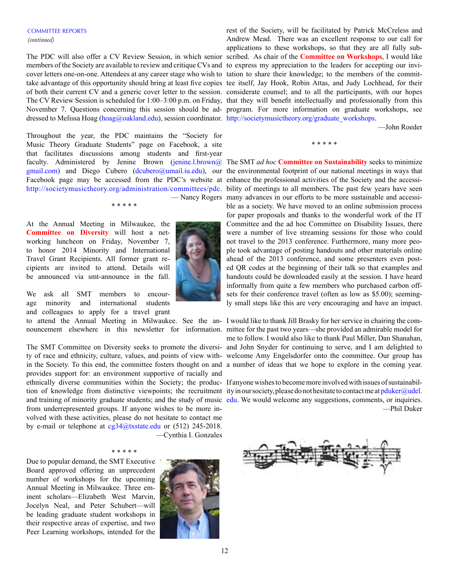members of the Society are available to review and critique CVs and to express my appreciation to the leaders for accepting our invicover letters one-on-one. Attendees at any career stage who wish to tation to share their knowledge; to the members of the committake advantage of this opportunity should bring at least five copies tee itself, Jay Hook, Robin Attas, and Judy Lochhead, for their of both their current CV and a generic cover letter to the session. considerate counsel; and to all the participants, with our hopes The CV Review Session is scheduled for 1:00–3:00 p.m. on Friday, that they will benefit intellectually and professionally from this November 7. Questions concerning this session should be ad-program. For more information on graduate workshops, see dressed to Melissa Hoag ([hoag@oakland.edu\)](mailto:hoag%40oakland.edu?subject=), session coordinator. [http://societymusictheory.org/graduate\\_workshops](http://societymusictheory.org/graduate_workshops).

Throughout the year, the PDC maintains the "Society for Music Theory Graduate Students" page on Facebook, a site that facilitates discussions among students and first-year Facebook page may be accessed from the PDC's website at enhance the professional activities of the Society and the accessi-

\* \* \* \* \*

At the Annual Meeting in Milwaukee, the **Committee on Diversity** will host a networking luncheon on Friday, November 7, to honor 2014 Minority and International Travel Grant Recipients. All former grant recipients are invited to attend. Details will be announced via smt-announce in the fall.

We ask all SMT members to encourage minority and international students and colleagues to apply for a travel grant

The SMT Committee on Diversity seeks to promote the diversi-and John Snyder for continuing to serve, and I am delighted to ty of race and ethnicity, culture, values, and points of view with-welcome Amy Engelsdorfer onto the committee. Our group has in the Society. To this end, the committee fosters thought on and a number of ideas that we hope to explore in the coming year. provides support for: an environment supportive of racially and ethnically diverse communities within the Society; the produc-If anyone wishes to become more involved with issues of sustainabiltion of knowledge from distinctive viewpoints; the recruitment ity in our society, please do not hesitate to contact me at [pduker@udel.](mailto:pduker%40udel.edu?subject=) from underrepresented groups. If anyone wishes to be more involved with these activities, please do not hesitate to contact me by e-mail or telephone at  $cg34@$ txstate.edu or (512) 245-2018. —Cynthia I. Gonzales

### \* \* \* \* \*

Due to popular demand, the SMT Executive Board approved offering an unprecedent number of workshops for the upcoming Annual Meeting in Milwaukee. Three eminent scholars—Elizabeth West Marvin, Jocelyn Neal, and Peter Schubert—will be leading graduate student workshops in their respective areas of expertise, and two Peer Learning workshops, intended for the



The PDC will also offer a CV Review Session, in which senior scribed. As chair of the **Committee on Workshops**, I would like rest of the Society, will be facilitated by Patrick McCreless and Andrew Mead. There was an excellent response to our call for applications to these workshops, so that they are all fully sub-

—John Roeder

\* \* \* \* \*

faculty. Administered by Jenine Brown [\(jenine.l.brown@](mailto:jenine.l.brown%40gmail.com?subject=) The SMT *ad hoc* **Committee on Sustainability** seeks to minimize [gmail.com](mailto:jenine.l.brown%40gmail.com?subject=)) and Diego Cubero ([dcubero@umail.iu.edu](mailto:dcubero%40umail.iu.edu?subject=)), our the environmental footprint of our national meetings in ways that <http://societymusictheory.org/administration/committees/pdc>. bility of meetings to all members. The past few years have seen — Nancy Rogers many advances in our efforts to be more sustainable and accessible as a society. We have moved to an online submission process for paper proposals and thanks to the wonderful work of the IT Committee and the ad hoc Committee on Disability Issues, there were a number of live streaming sessions for those who could not travel to the 2013 conference. Furthermore, many more people took advantage of posting handouts and other materials online ahead of the 2013 conference, and some presenters even posted QR codes at the beginning of their talk so that examples and handouts could be downloaded easily at the session. I have heard informally from quite a few members who purchased carbon offsets for their conference travel (often as low as \$5.00); seemingly small steps like this are very encouraging and have an impact.

to attend the Annual Meeting in Milwaukee. See the an-I would like to thank Jill Brasky for her service in chairing the comnouncement elsewhere in this newsletter for information. mittee for the past two years—she provided an admirable model for me to follow. I would also like to thank Paul Miller, Dan Shanahan,

and training of minority graduate students; and the study of music [edu](mailto:pduker%40udel.edu?subject=). We would welcome any suggestions, comments, or inquiries. —Phil Duker

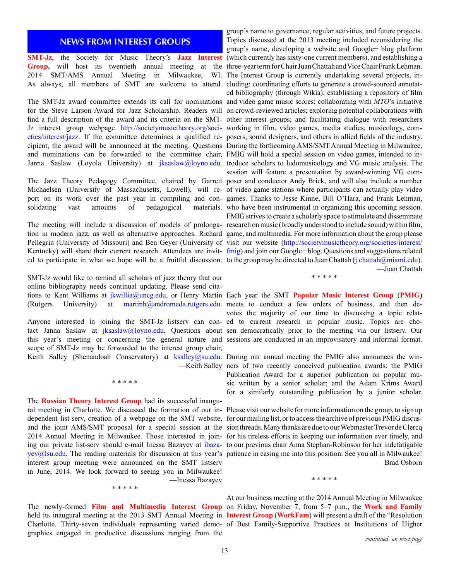# **NEWS FROM INTEREST GROUPS**

Pellegrin (University of Missouri) and Ben Geyer (University of visit our website [\(http://societymusictheory.org/societies/interest/](http://societymusictheory.org/societies/interest/fmig)

SMT-Jz would like to remind all scholars of jazz theory that our online bibliography needs continual updating. Please send citations to Kent Williams at [jkwillia@uncg.edu](mailto:jkwillia%40uncg.edu?subject=), or Henry Martin Each year the SMT **Popular Music Interest Group** (**PMIG**)

tact Janna Saslaw at [jksaslaw@loyno.edu](mailto:jksaslaw%40loyno.edu?subject=). Questions about sen democratically prior to the meeting via our listserv. Our this year's meeting or concerning the general nature and sessions are conducted in an improvisatory and informal format. scope of SMT-Jz may be forwarded to the interest group chair, Keith Salley (Shenandoah Conservatory) at [ksalley@su.edu.](mailto:ksalley%40su.edu?subject=) During our annual meeting the PMIG also announces the win-

\* \* \* \* \*

The **Russian Theory Interest Group** had its successful inaugural meeting in Charlotte. We discussed the formation of our in-Please visit our website for more information on the group, to sign up dependent list-serv, creation of a webpage on the SMT website, for our mailing list, or to access the archive of previous PMIG discus[yev@lsu.edu.](mailto:ibazayev%40lsu.edu?subject=) The reading materials for discussion at this year's patience in easing me into this position. See you all in Milwaukee! interest group meeting were announced on the SMT listserv in June, 2014. We look forward to seeing you in Milwaukee! —Inessa Bazayev \* \* \* \* \*

graphics engaged in productive discussions ranging from the

**SMT-Jz**, the Society for Music Theory's **Jazz Interest** (which currently has sixty-one current members), and establishing a Group, will host its twentieth annual meeting at the three-year term for Chair Juan Chattah and Vice Chair Frank Lehman. 2014 SMT/AMS Annual Meeting in Milwaukee, WI. The Interest Group is currently undertaking several projects, in-As always, all members of SMT are welcome to attend. cluding: coordinating efforts to generate a crowd-sourced annotat-The SMT-Jz award committee extends its call for nominations and video game music scores; collaborating with *MTO*'s initiative for the Steve Larson Award for Jazz Scholarship. Readers will on crowd-reviewed articles; exploring potential collaborations with find a full description of the award and its criteria on the SMT- other interest groups; and facilitating dialogue with researchers Jz interest group webpage [http://societymusictheory.org/soci-](http://societymusictheory.org/societies/interest/jazz)working in film, video games, media studies, musicology, com[eties/interest/jazz](http://societymusictheory.org/societies/interest/jazz). If the committee determines a qualified re-posers, sound designers, and others in allied fields of the industry. cipient, the award will be announced at the meeting. Questions During the forthcoming AMS/SMT Annual Meeting in Milwaukee, and nominations can be forwarded to the committee chair, FMIG will hold a special session on video games, intended to inJanna Saslaw (Loyola University) at [jksaslaw@loyno.edu.](mailto:jksaslaw%40loyno.edu?subject=) troduce scholars to ludomusicology and VG music analysis. The The Jazz Theory Pedagogy Committee, chaired by Garrett poser and conductor Andy Brick, and will also include a number Michaelsen (University of Massachusetts, Lowell), will re-of video game stations where participants can actually play video port on its work over the past year in compiling and con-games. Thanks to Jesse Kinne, Bill O'Hara, and Frank Lehman, solidating vast amounts of pedagogical materials. who have been instrumental in organizing this upcoming session. The meeting will include a discussion of models of prolonga-research on music (broadly understood to include sound) within film, tion in modern jazz, as well as alternative approaches. Richard game, and multimedia. For more information about the group please Kentucky) will share their current research. Attendees are invit-[fmig\)](http://societymusictheory.org/societies/interest/fmig) and join our Google+ blog. Questions and suggestions related ed to participate in what we hope will be a fruitful discussion. to the group may be directed to Juan Chattah (j.chattah @miami.edu). group's name to governance, regular activities, and future projects. Topics discussed at the 2013 meeting included reconsidering the group's name, developing a website and Google+ blog platform ed bibliography (through Wikia); establishing a repository of film session will feature a presentation by award-winning VG com-FMIG strives to create a scholarly space to stimulate and disseminate —Juan Chattah

\* \* \* \* \*

(Rutgers University) at [martinh@andromeda.rutgers.edu.](mailto:martinh%40andromeda.rutgers.edu?subject=) meets to conduct a few orders of business, and then de-Anyone interested in joining the SMT-Jz listserv can con-ed to current research in popular music. Topics are chovotes the majority of our time to discussing a topic relat-

> —Keith Salley ners of two recently conceived publication awards: the PMIG Publication Award for a superior publication on popular music written by a senior scholar; and the Adam Krims Award for a similarly outstanding publication by a junior scholar.

and the joint AMS/SMT proposal for a special session at the sion threads. Many thanks are due to our Webmaster Trevor de Clercq 2014 Annual Meeting in Milwaukee. Those interested in join-for his tireless efforts in keeping our information ever timely, and ing our private list-serv should e-mail Inessa Bazayev at ibaza- to our previous chair Anna Stephan-Robinson for her indefatigable —Brad Osborn

\* \* \* \* \*

The newly-formed **Film and Multimedia Interest Group** on Friday, November 7, from 5–7 p.m., the **Work and Family**  held its inaugural meeting at the 2013 SMT Annual Meeting in **Interest Group** (**WorkFam**) will present a draft of the "Resolution Charlotte. Thirty-seven individuals representing varied demo-of Best Family-Supportive Practices at Institutions of Higher At our business meeting at the 2014 Annual Meeting in Milwaukee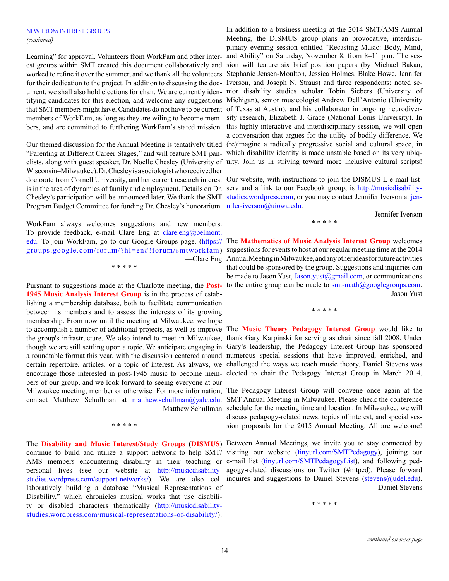#### NEW FROM INTEREST GROUPS *(continued)*

Learning" for approval. Volunteers from WorkFam and other interfor their dedication to the project. In addition to discussing the doc-Iverson, and Joseph N. Straus) and three respondents: noted sethat SMT members might have. Candidates do not have to be current of Texas at Austin), and his collaborator in ongoing neurodiver-

"Parenting at Different Career Stages," and will feature SMT pan-which disability identity is made unstable based on its very ubiqelists, along with guest speaker, Dr. Noelle Chesley (University of uity. Join us in striving toward more inclusive cultural scripts! Wisconsin–Milwaukee). Dr. Chesley is a sociologist who received her doctorate from Cornell University, and her current research interest Our website, with instructions to join the DISMUS-L e-mail listis in the area of dynamics of family and employment. Details on Dr. serv and a link to our Facebook group, is [http://musicdisability](http://musicdisabilitystudies.wordpress.com)Chesley's participation will be announced later. We thank the SMT studies wordpress.com, or you may contact Jennifer Iverson at [jen](mailto:jennifer-iverson%40uiowa.edu?subject=)Program Budget Committee for funding Dr. Chesley's honorarium. [nifer-iverson@uiowa.edu](mailto:jennifer-iverson%40uiowa.edu?subject=).

WorkFam always welcomes suggestions and new members. To provide feedback, e-mail Clare Eng at [clare.eng@belmont.](mailto:clare.eng%40belmont.edu?subject=)

\* \* \* \* \*

Pursuant to suggestions made at the Charlotte meeting, the **Post-1945 Music Analysis Interest Group** is in the process of establishing a membership database, both to facilitate communication between its members and to assess the interests of its growing membership. From now until the meeting at Milwaukee, we hope to accomplish a number of additional projects, as well as improve The **Music Theory Pedagogy Interest Group** would like to the group's infrastructure. We also intend to meet in Milwaukee, thank Gary Karpinski for serving as chair since fall 2008. Under though we are still settling upon a topic. We anticipate engaging in Gary's leadership, the Pedagogy Interest Group has sponsored a roundtable format this year, with the discussion centered around numerous special sessions that have improved, enriched, and certain repertoire, articles, or a topic of interest. As always, we challenged the ways we teach music theory. Daniel Stevens was encourage those interested in post-1945 music to become mem-elected to chair the Pedagogy Interest Group in March 2014. bers of our group, and we look forward to seeing everyone at our Milwaukee meeting, member or otherwise. For more information, The Pedagogy Interest Group will convene once again at the contact Matthew Schullman at [matthew.schullman@yale.edu](mailto:matthew.schullman%40yale.edu?subject=). SMT Annual Meeting in Milwaukee. Please check the conference

The **Disability and Music Interest/Study Groups** (**DISMUS**) Between Annual Meetings, we invite you to stay connected by continue to build and utilize a support network to help SMT/ visiting our website [\(tinyurl.com/SMTPedagogy](tinyurl.com/SMTPedagogy)), joining our AMS members encountering disability in their teaching or e-mail list ([tinyurl.com/SMTPedagogyList\)](tinyurl.com/SMTPedagogyList), and following pedpersonal lives (see our website at http://musicdisability- agogy-related discussions on Twitter (#mtped). Please forward [studies.wordpress.com/support-networks/\)](http://musicdisabilitystudies.wordpress.com/support-networks/). We are also col- inquires and suggestions to Daniel Stevens [\(stevens@udel.edu](mailto:stevens%40udel.edu?subject=)). laboratively building a database "Musical Representations of Disability," which chronicles musical works that use disability or disabled characters thematically ([http://musicdisability](http://musicdisabilitystudies.wordpress.com/musical-representations-of-disability/)[studies.wordpress.com/musical-representations-of-disability/\)](http://musicdisabilitystudies.wordpress.com/musical-representations-of-disability/).

\* \* \* \* \*

est groups within SMT created this document collaboratively and sion will feature six brief position papers (by Michael Bakan, worked to refine it over the summer, and we thank all the volunteers Stephanie Jensen-Moulton, Jessica Holmes, Blake Howe, Jennifer ument, we shall also hold elections for chair. We are currently iden-nior disability studies scholar Tobin Siebers (University of tifying candidates for this election, and welcome any suggestions Michigan), senior musicologist Andrew Dell'Antonio (University members of WorkFam, as long as they are wiling to become mem-sity research, Elizabeth J. Grace (National Louis University). In bers, and are committed to furthering WorkFam's stated mission. this highly interactive and interdisciplinary session, we will open Our themed discussion for the Annual Meeting is tentatively titled (re)imagine a radically progressive social and cultural space, in In addition to a business meeting at the 2014 SMT/AMS Annual Meeting, the DISMUS group plans an provocative, interdisciplinary evening session entitled "Recasting Music: Body, Mind, and Ability" on Saturday, November 8, from 8–11 p.m. The sesa conversation that argues for the utility of bodily difference. We

\* \* \* \* \*

—Jennifer Iverson

[edu](mailto:clare.eng%40belmont.edu?subject=). To join WorkFam, go to our Google Groups page. [\(https://](https://groups.google.com/forum/%3Fhl%3Den%23%21forum/smtworkfam) The **Mathematics of Music Analysis Interest Group** welcomes [groups.google.com/forum/?hl=en#!forum/smtworkfam\)](https://groups.google.com/forum/%3Fhl%3Den%23%21forum/smtworkfam) suggestions for events to host at our regular meeting time at the 2014 —Clare Eng Annual Meeting in Milwaukee, and any other ideas for future activities that could be sponsored by the group. Suggestions and inquiries can be made to Jason Yust, [Jason.yust@gmail.com,](mailto:Jason.yust%40gmail.com?subject=) or communications to the entire group can be made to  $\text{smt-math}(a)$  googlegroups.com. —Jason Yust

\* \* \* \* \*

— Matthew Schullman schedule for the meeting time and location. In Milwaukee, we will discuss pedagogy-related news, topics of interest, and special session proposals for the 2015 Annual Meeting. All are welcome!

—Daniel Stevens

\* \* \* \* \*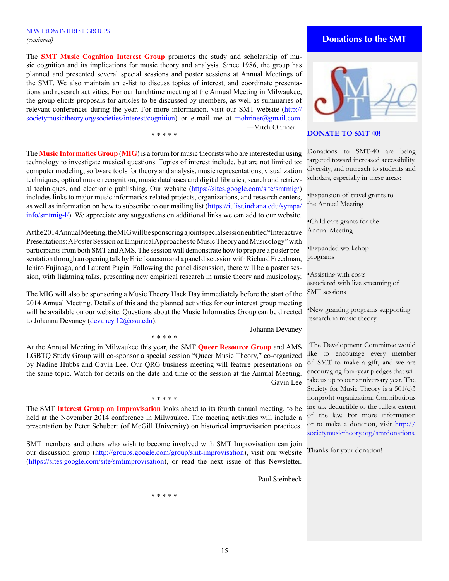# NEW FROM INTEREST GROUPS *(continued)*

The **SMT Music Cognition Interest Group** promotes the study and scholarship of music cognition and its implications for music theory and analysis. Since 1986, the group has planned and presented several special sessions and poster sessions at Annual Meetings of the SMT. We also maintain an e-list to discuss topics of interest, and coordinate presentations and research activities. For our lunchtime meeting at the Annual Meeting in Milwaukee, the group elicits proposals for articles to be discussed by members, as well as summaries of relevant conferences during the year. For more information, visit our SMT website ([http://](http://societymusictheory.org/societies/interest/cognition) [societymusictheory.org/societies/interest/cognition\)](http://societymusictheory.org/societies/interest/cognition) or e-mail me at [mohriner@gmail.com](mailto:mohriner%40gmail.com?subject=). —Mitch Ohriner

\* \* \* \* \*

The **Music Informatics Group** (**MIG**) is a forum for music theorists who are interested in using technology to investigate musical questions. Topics of interest include, but are not limited to: computer modeling, software tools for theory and analysis, music representations, visualization techniques, optical music recognition, music databases and digital libraries, search and retrieval techniques, and electronic publishing. Our website [\(https://sites.google.com/site/smtmig/\)](https://sites.google.com/site/smtmig/) includes links to major music informatics-related projects, organizations, and research centers, as well as information on how to subscribe to our mailing list ([https://iulist.indiana.edu/sympa/](https://iulist.indiana.edu/sympa/info/smtmig-l/) [info/smtmig-l/\)](https://iulist.indiana.edu/sympa/info/smtmig-l/). We appreciate any suggestions on additional links we can add to our website.

At the 2014 Annual Meeting, the MIG will be sponsoring a joint special session entitled "Interactive Presentations: A Poster Session on Empirical Approaches to Music Theory and Musicology" with participants from both SMT and AMS. The session will demonstrate how to prepare a poster presentation through an opening talk by Eric Isaacson and a panel discussion with Richard Freedman, Ichiro Fujinaga, and Laurent Pugin. Following the panel discussion, there will be a poster session, with lightning talks, presenting new empirical research in music theory and musicology.

The MIG will also be sponsoring a Music Theory Hack Day immediately before the start of the 2014 Annual Meeting. Details of this and the planned activities for our interest group meeting will be available on our website. Questions about the Music Informatics Group can be directed to Johanna Devaney ([devaney.12@osu.edu](mailto:devaney.12%40osu.edu?subject=)).

\* \* \* \* \*

— Johanna Devaney

At the Annual Meeting in Milwaukee this year, the SMT **Queer Resource Group** and AMS LGBTQ Study Group will co-sponsor a special session "Queer Music Theory," co-organized by Nadine Hubbs and Gavin Lee. Our QRG business meeting will feature presentations on the same topic. Watch for details on the date and time of the session at the Annual Meeting. —Gavin Lee

The SMT **Interest Group on Improvisation** looks ahead to its fourth annual meeting, to be held at the November 2014 conference in Milwaukee. The meeting activities will include a presentation by Peter Schubert (of McGill University) on historical improvisation practices.

\* \* \* \* \*

SMT members and others who wish to become involved with SMT Improvisation can join our discussion group ([http://groups.google.com/group/smt-improvisation\)](http://groups.google.com/group/smt-improvisation), visit our website [\(https://sites.google.com/site/smtimprovisation\)](https://sites.google.com/site/smtimprovisation), or read the next issue of this Newsletter.

—Paul Steinbeck

•Assisting with costs associated with live streaming of

SMT sessions

•New granting programs supporting research in music theory

 The Development Committee would like to encourage every member of SMT to make a gift, and we are encouraging four-year pledges that will take us up to our anniversary year. The Society for Music Theory is a 501(c)3 nonprofit organization. Contributions are tax-deductible to the fullest extent of the law. For more information or to make a donation, visit [http://](http://societymusictheory.org/smtdonations) [societymusictheory.org/smtdonations.](http://societymusictheory.org/smtdonations)

Thanks for your donation!



# **DONATE TO SMT-40!**

Donations to SMT-40 are being targeted toward increased accessibility, diversity, and outreach to students and scholars, especially in these areas:

•Expansion of travel grants to the Annual Meeting

•Child care grants for the Annual Meeting

•Expanded workshop programs

# **Donations to the SMT**

\* \* \* \* \*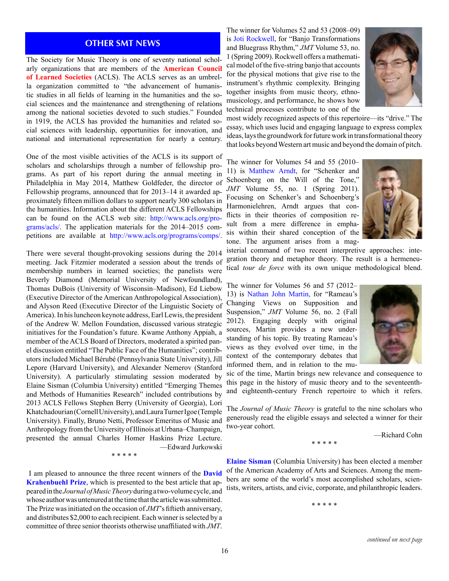# **OTHER SMT NEWS**

The Society for Music Theory is one of seventy national scholarly organizations that are members of the **American Council of Learned Societies** (ACLS). The ACLS serves as an umbrella organization committed to "the advancement of humanistic studies in all fields of learning in the humanities and the social sciences and the maintenance and strengthening of relations among the national societies devoted to such studies." Founded in 1919, the ACLS has provided the humanities and related social sciences with leadership, opportunities for innovation, and national and international representation for nearly a century.

One of the most visible activities of the ACLS is its support of scholars and scholarships through a number of fellowship programs. As part of his report during the annual meeting in Philadelphia in May 2014, Matthew Goldfeder, the director of Fellowship programs, announced that for 2013–14 it awarded approximately fifteen million dollars to support nearly 300 scholars in the humanities. Information about the different ACLS Fellowships can be found on the ACLS web site: [http://www.acls.org/pro](http://www.acls.org/programs/acls/)[grams/acls/.](http://www.acls.org/programs/acls/) The application materials for the 2014–2015 competitions are available at <http://www.acls.org/programs/comps/>.

There were several thought-provoking sessions during the 2014 meeting. Jack Fitzmier moderated a session about the trends of membership numbers in learned societies; the panelists were Beverly Diamond (Memorial University of Newfoundland), Thomas DuBois (University of Wisconsin–Madison), Ed Liebow (Executive Director of the American Anthropological Association), and Alyson Reed (Executive Director of the Linguistic Society of America). In his luncheon keynote address, Earl Lewis, the president of the Andrew W. Mellon Foundation, discussed various strategic initiatives for the Foundation's future. Kwame Anthony Appiah, a member of the ACLS Board of Directors, moderated a spirited panel discussion entitled "The Public Face of the Humanities"; contributors included Michael Bérubé (Pennsylvania State University), Jill Lepore (Harvard University), and Alexander Nemerov (Stanford University). A particularly stimulating session moderated by Elaine Sisman (Columbia University) entitled "Emerging Themes and Methods of Humanities Research" included contributions by 2013 ACLS Fellows Stephen Berry (University of Georgia), Lori Khatchadourian (Cornell University), and Laura Turner Igoe (Temple University). Finally, Bruno Netti, Professor Emeritus of Music and Anthropology from the University of Illinois at Urbana–Champaign, presented the annual Charles Homer Haskins Prize Lecture. —Edward Jurkowski

\* \* \* \* \*

 I am pleased to announce the three recent winners of the **David Krahenbuehl Prize**, which is presented to the best article that appeared in the *Journal of Music Theory* during a two-volume cycle, and whose author was untenured at the time that the article was submitted. The Prize was initiated on the occasion of *JMT*'s fiftieth anniversary, and distributes \$2,000 to each recipient. Each winner is selected by a committee of three senior theorists otherwise unaffiliated with *JMT*.

The winner for Volumes 52 and 53 (2008–09) is Joti Rockwell, for "Banjo Transformations and Bluegrass Rhythm," *JMT* Volume 53, no. 1 (Spring 2009). Rockwell offers a mathematical model of the five-string banjo that accounts for the physical motions that give rise to the instrument's rhythmic complexity. Bringing together insights from music theory, ethnomusicology, and performance, he shows how technical processes contribute to one of the



most widely recognized aspects of this repertoire—its "drive." The essay, which uses lucid and engaging language to express complex ideas, lays the groundwork for future work in transformational theory that looks beyond Western art music and beyond the domain of pitch.

The winner for Volumes 54 and 55 (2010– 11) is Matthew Arndt, for "Schenker and Schoenberg on the Will of the Tone," *JMT* Volume 55, no. 1 (Spring 2011). Focusing on Schenker's and Schoenberg's Harmonielehren, Arndt argues that conflicts in their theories of composition result from a mere difference in emphasis within their shared conception of the tone. The argument arises from a mag-



isterial command of two recent interpretive approaches: integration theory and metaphor theory. The result is a hermeneutical *tour de force* with its own unique methodological blend.

The winner for Volumes 56 and 57 (2012– 13) is Nathan John Martin, for "Rameau's Changing Views on Supposition and Suspension," *JMT* Volume 56, no. 2 (Fall 2012). Engaging deeply with original sources, Martin provides a new understanding of his topic. By treating Rameau's views as they evolved over time, in the context of the contemporary debates that informed them, and in relation to the mu-



sic of the time, Martin brings new relevance and consequence to this page in the history of music theory and to the seventeenthand eighteenth-century French repertoire to which it refers.

The *Journal of Music Theory* is grateful to the nine scholars who generously read the eligible essays and selected a winner for their two-year cohort.

\* \* \* \* \*

—Richard Cohn

**Elaine Sisman** (Columbia University) has been elected a member of the American Academy of Arts and Sciences. Among the members are some of the world's most accomplished scholars, scientists, writers, artists, and civic, corporate, and philanthropic leaders.

\* \* \* \* \*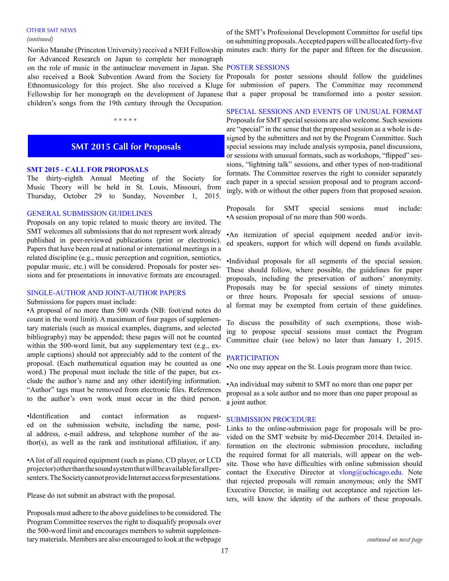#### OTHER SMT NEWS

#### *(continued)*

on the role of music in the antinuclear movement in Japan. She POSTER SESSIONS also received a Book Subvention Award from the Society for Proposals for poster sessions should follow the guidelines Fellowship for her monograph on the development of Japanese that a paper proposal be transformed into a poster session. for Advanced Research on Japan to complete her monograph children's songs from the 19th century through the Occupation.

\* \* \* \* \*

# **SMT 2015 Call for Proposals**

# **SMT 2015 - CALL FOR PROPOSALS**

The thirty-eighth Annual Meeting of the Society for Music Theory will be held in St. Louis, Missouri, from Thursday, October 29 to Sunday, November 1, 2015.

# GENERAL SUBMISSION GUIDELINES

Proposals on any topic related to music theory are invited. The SMT welcomes all submissions that do not represent work already published in peer-reviewed publications (print or electronic). Papers that have been read at national or international meetings in a related discipline (e.g., music perception and cognition, semiotics, popular music, etc.) will be considered. Proposals for poster sessions and for presentations in innovative formats are encouraged.

#### SINGLE-AUTHOR AND JOINT-AUTHOR PAPERS

Submissions for papers must include:

•A proposal of no more than 500 words (NB: foot/end notes do count in the word limit). A maximum of four pages of supplementary materials (such as musical examples, diagrams, and selected bibliography) may be appended; these pages will not be counted within the 500-word limit, but any supplementary text (e.g., example captions) should not appreciably add to the content of the proposal. (Each mathematical equation may be counted as one word.) The proposal must include the title of the paper, but exclude the author's name and any other identifying information. "Author" tags must be removed from electronic files. References to the author's own work must occur in the third person.

•Identification and contact information as requested on the submission website, including the name, postal address, e-mail address, and telephone number of the author(s), as well as the rank and institutional affiliation, if any.

•A list of all required equipment (such as piano, CD player, or LCD projector) other than the sound system that will be available for all presenters. The Society cannot provide Internet access for presentations.

Please do not submit an abstract with the proposal.

Proposals must adhere to the above guidelines to be considered. The Program Committee reserves the right to disqualify proposals over the 500-word limit and encourages members to submit supplementary materials. Members are also encouraged to look at the webpage

of the SMT's Professional Development Committee for useful tips on submitting proposals. Accepted papers will be allocated forty-five Noriko Manabe (Princeton University) received a NEH Fellowship minutes each: thirty for the paper and fifteen for the discussion.

Ethnomusicology for this project. She also received a Kluge for submission of papers. The Committee may recommend

SPECIAL SESSIONS AND EVENTS OF UNUSUAL FORMAT Proposals for SMT special sessions are also welcome. Such sessions are "special" in the sense that the proposed session as a whole is designed by the submitters and not by the Program Committee. Such special sessions may include analysis symposia, panel discussions, or sessions with unusual formats, such as workshops, "flipped" sessions, "lightning talk" sessions, and other types of non-traditional formats. The Committee reserves the right to consider separately each paper in a special session proposal and to program accordingly, with or without the other papers from that proposed session.

Proposals for SMT special sessions must include: •A session proposal of no more than 500 words.

•An itemization of special equipment needed and/or invited speakers, support for which will depend on funds available.

•Individual proposals for all segments of the special session. These should follow, where possible, the guidelines for paper proposals, including the preservation of authors' anonymity. Proposals may be for special sessions of ninety minutes or three hours. Proposals for special sessions of unusual format may be exempted from certain of these guidelines.

To discuss the possibility of such exemptions, those wishing to propose special sessions must contact the Program Committee chair (see below) no later than January 1, 2015.

#### **PARTICIPATION**

•No one may appear on the St. Louis program more than twice.

•An individual may submit to SMT no more than one paper per proposal as a sole author and no more than one paper proposal as a joint author.

# SUBMISSION PROCEDURE

Links to the online-submission page for proposals will be provided on the SMT website by mid-December 2014. Detailed information on the electronic submission procedure, including the required format for all materials, will appear on the website. Those who have difficulties with online submission should contact the Executive Director at [vlong@uchicago.edu.](mailto:vlong%40uchicago.edu?subject=) Note that rejected proposals will remain anonymous; only the SMT Executive Director, in mailing out acceptance and rejection letters, will know the identity of the authors of these proposals.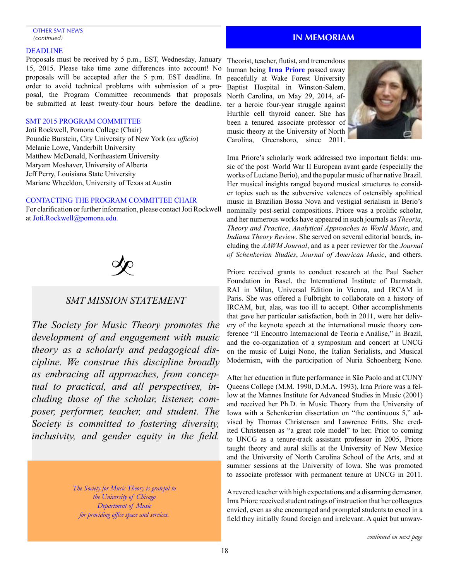#### OTHER SMT NEWS *(continued)*

#### DEADLINE

Proposals must be received by 5 p.m., EST, Wednesday, January 15, 2015. Please take time zone differences into account! No proposals will be accepted after the 5 p.m. EST deadline. In order to avoid technical problems with submission of a proposal, the Program Committee recommends that proposals be submitted at least twenty-four hours before the deadline.

# SMT 2015 PROGRAM COMMITTEE

Joti Rockwell, Pomona College (Chair) Poundie Burstein, City University of New York (*ex officio*) Melanie Lowe, Vanderbilt University Matthew McDonald, Northeastern University Maryam Moshaver, University of Alberta Jeff Perry, Louisiana State University Mariane Wheeldon, University of Texas at Austin

# CONTACTING THE PROGRAM COMMITTEE CHAIR

For clarification or further information, please contact Joti Rockwell a[t Joti.Rockwell@pomona.edu.](mailto:%20Joti.Rockwell%40pomona.edu?subject=)



# *SMT MISSION STATEMENT*

*The Society for Music Theory promotes the development of and engagement with music theory as a scholarly and pedagogical discipline. We construe this discipline broadly as embracing all approaches, from conceptual to practical, and all perspectives, including those of the scholar, listener, composer, performer, teacher, and student. The Society is committed to fostering diversity, inclusivity, and gender equity in the field.* 

> *The Society for Music Theory is grateful to the University of Chicago Department of Music for providing office space and services.*

# **IN MEMORIAM**

Theorist, teacher, flutist, and tremendous human being **Irna Priore** passed away peacefully at Wake Forest University Baptist Hospital in Winston-Salem, North Carolina, on May 29, 2014, after a heroic four-year struggle against Hurthle cell thyroid cancer. She has been a tenured associate professor of music theory at the University of North Carolina, Greensboro, since 2011.



Irna Priore's scholarly work addressed two important fields: music of the post–World War II European avant garde (especially the works of Luciano Berio), and the popular music of her native Brazil. Her musical insights ranged beyond musical structures to consider topics such as the subversive valences of ostensibly apolitical music in Brazilian Bossa Nova and vestigial serialism in Berio's nominally post-serial compositions. Priore was a prolific scholar, and her numerous works have appeared in such journals as *Theoria*, *Theory and Practice*, *Analytical Approaches to World Music*, and *Indiana Theory Review*. She served on several editorial boards, including the *AAWM Journal*, and as a peer reviewer for the *Journal of Schenkerian Studies*, *Journal of American Music*, and others.

Priore received grants to conduct research at the Paul Sacher Foundation in Basel, the International Institute of Darmstadt, RAI in Milan, Universal Edition in Vienna, and IRCAM in Paris. She was offered a Fulbright to collaborate on a history of IRCAM, but, alas, was too ill to accept. Other accomplishments that gave her particular satisfaction, both in 2011, were her delivery of the keynote speech at the international music theory conference "II Encontro Internacional de Teoria e Análise," in Brazil, and the co-organization of a symposium and concert at UNCG on the music of Luigi Nono, the Italian Serialists, and Musical Modernism, with the participation of Nuria Schoenberg Nono.

After her education in flute performance in São Paolo and at CUNY Queens College (M.M. 1990, D.M.A. 1993), Irna Priore was a fellow at the Mannes Institute for Advanced Studies in Music (2001) and received her Ph.D. in Music Theory from the University of Iowa with a Schenkerian dissertation on "the continuous 5," advised by Thomas Christensen and Lawrence Fritts. She credited Christensen as "a great role model" to her. Prior to coming to UNCG as a tenure-track assistant professor in 2005, Priore taught theory and aural skills at the University of New Mexico and the University of North Carolina School of the Arts, and at summer sessions at the University of Iowa. She was promoted to associate professor with permanent tenure at UNCG in 2011.

A revered teacher with high expectations and a disarming demeanor, Irna Priore received student ratings of instruction that her colleagues envied, even as she encouraged and prompted students to excel in a field they initially found foreign and irrelevant. A quiet but unwav-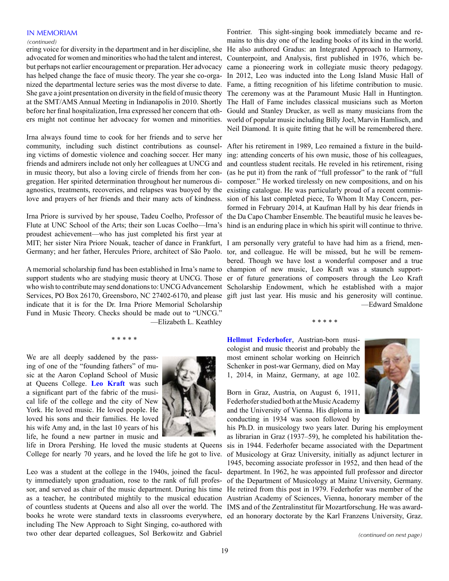### IN MEMORIAM

#### *(continued)*

community, including such distinct contributions as counsel- After his retirement in 1989, Leo remained a fixture in the buildagnostics, treatments, recoveries, and relapses was buoyed by the existing catalogue. He was particularly proud of a recent commis-Irna always found time to cook for her friends and to serve her ing victims of domestic violence and coaching soccer. Her many in music theory, but also a loving circle of friends from her congregation. Her spirited determination throughout her numerous di-

Irna Priore is survived by her spouse, Tadeu Coelho, Professor of the Da Capo Chamber Ensemble. The beautiful music he leaves be-Flute at UNC School of the Arts; their son Lucas Coelho—Irna's hind is an enduring place in which his spirit will continue to thrive. MIT; her sister Nira Priore Nouak, teacher of dance in Frankfurt, I am personally very grateful to have had him as a friend, menproudest achievement—who has just completed his first year at

indicate that it is for the Dr. Irna Priore Memorial Scholarship Fund in Music Theory. Checks should be made out to "UNCG." —Elizabeth L. Keathley

\* \* \* \* \*

We are all deeply saddened by the passing of one of the "founding fathers" of music at the Aaron Copland School of Music at Queens College. **Leo Kraft** was such a significant part of the fabric of the musical life of the college and the city of New York. He loved music. He loved people. He loved his sons and their families. He loved his wife Amy and, in the last 10 years of his life, he found a new partner in music and



life in Drora Pershing. He loved the music students at Queens College for nearly 70 years, and he loved the life he got to live.

of countless students at Queens and also all over the world. The IMS and of the Zentralinstitut für Mozartforschung. He was awardbooks he wrote were standard texts in classrooms everywhere, ed an honorary doctorate by the Karl Franzens University, Graz. Leo was a student at the college in the 1940s, joined the faculty immediately upon graduation, rose to the rank of full profesincluding The New Approach to Sight Singing, co-authored with two other dear departed colleagues, Sol Berkowitz and Gabriel

Fontrier. This sight-singing book immediately became and remains to this day one of the leading books of its kind in the world. ering voice for diversity in the department and in her discipline, she He also authored Gradus: an Integrated Approach to Harmony, advocated for women and minorities who had the talent and interest, Counterpoint, and Analysis, first published in 1976, which bebut perhaps not earlier encouragement or preparation. Her advocacy came a pioneering work in collegiate music theory pedagogy. has helped change the face of music theory. The year she co-orga- In 2012, Leo was inducted into the Long Island Music Hall of nized the departmental lecture series was the most diverse to date. Fame, a fitting recognition of his lifetime contribution to music. She gave a joint presentation on diversity in the field of music theory The ceremony was at the Paramount Music Hall in Huntington. at the SMT/AMS Annual Meeting in Indianapolis in 2010. Shortly The Hall of Fame includes classical musicians such as Morton before her final hospitalization, Irna expressed her concern that oth-Gould and Stanley Drucker, as well as many musicians from the ers might not continue her advocacy for women and minorities. world of popular music including Billy Joel, Marvin Hamlisch, and Neil Diamond. It is quite fitting that he will be remembered there.

ing: attending concerts of his own music, those of his colleagues, friends and admirers include not only her colleagues at UNCG and and countless student recitals. He reveled in his retirement, rising (as he put it) from the rank of "full professor" to the rank of "full composer." He worked tirelessly on new compositions, and on his love and prayers of her friends and their many acts of kindness. sion of his last completed piece, To Whom It May Concern, performed in February 2014, at Kaufman Hall by his dear friends in

Germany; and her father, Hercules Priore, architect of São Paolo. tor, and colleague. He will be missed, but he will be remembered. Though we have lost a wonderful composer and a true A memorial scholarship fund has been established in Irna's name to champion of new music, Leo Kraft was a staunch supportsupport students who are studying music theory at UNCG. Those er of future generations of composers through the Leo Kraft who wish to contribute may send donations to: UNCG Advancement Scholarship Endowment, which he established with a major Services, PO Box 26170, Greensboro, NC 27402-6170, and please gift just last year. His music and his generosity will continue. —Edward Smaldone

\* \* \* \* \*

**Hellmut Federhofer**, Austrian-born musicologist and music theorist and probably the most eminent scholar working on Heinrich Schenker in post-war Germany, died on May 1, 2014, in Mainz, Germany, at age 102.

Born in Graz, Austria, on August 6, 1911, Federhofer studied both at the Music Academy and the University of Vienna. His diploma in conducting in 1934 was soon followed by



his Ph.D. in musicology two years later. During his employment as librarian in Graz (1937–59), he completed his habilitation thesis in 1944. Federhofer became associated with the Department of Musicology at Graz University, initially as adjunct lecturer in 1945, becoming associate professor in 1952, and then head of the department. In 1962, he was appointed full professor and director of the Department of Musicology at Mainz University, Germany. sor, and served as chair of the music department. During his time He retired from this post in 1979. Federhofer was member of the as a teacher, he contributed mightily to the musical education Austrian Academy of Sciences, Vienna, honorary member of the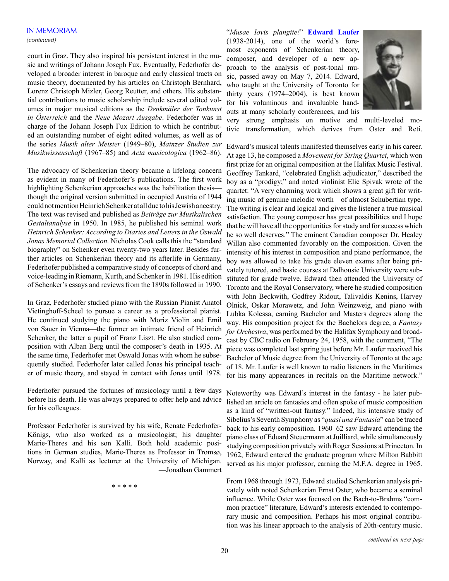court in Graz. They also inspired his persistent interest in the music and writings of Johann Joseph Fux. Eventually, Federhofer developed a broader interest in baroque and early classical tracts on music theory, documented by his articles on Christoph Bernhard, Lorenz Christoph Mizler, Georg Reutter, and others. His substantial contributions to music scholarship include several edited volumes in major musical editions as the *Denkmäler der Tonkunst in Österreich* and the *Neue Mozart Ausgabe*. Federhofer was in charge of the Johann Joseph Fux Edition to which he contributed an outstanding number of eight edited volumes, as well as of the series *Musik alter Meister* (1949–80), *Mainzer Studien zur Musikwissenschaft* (1967–85) and *Acta musicologica* (1962–86).

The advocacy of Schenkerian theory became a lifelong concern as evident in many of Federhofer's publications. The first work highlighting Schenkerian approaches was the habilitation thesis though the original version submitted in occupied Austria of 1944 could not mention Heinrich Schenker at all due to his Jewish ancestry. The text was revised and published as *Beiträge zur Musikalischen Gestaltanalyse* in 1950. In 1985, he published his seminal work *Heinrich Schenker: According to Diaries and Letters in the Oswald Jonas Memorial Collection*. Nicholas Cook calls this the "standard biography" on Schenker even twenty-two years later. Besides further articles on Schenkerian theory and its afterlife in Germany, Federhofer published a comparative study of concepts of chord and voice-leading in Riemann, Kurth, and Schenker in 1981. His edition of Schenker's essays and reviews from the 1890s followed in 1990.

In Graz, Federhofer studied piano with the Russian Pianist Anatol Vietinghoff-Scheel to pursue a career as a professional pianist. He continued studying the piano with Moriz Violin and Emil von Sauer in Vienna—the former an intimate friend of Heinrich Schenker, the latter a pupil of Franz Liszt. He also studied composition with Alban Berg until the composer's death in 1935. At the same time, Federhofer met Oswald Jonas with whom he subsequently studied. Federhofer later called Jonas his principal teacher of music theory, and stayed in contact with Jonas until 1978.

Federhofer pursued the fortunes of musicology until a few days before his death. He was always prepared to offer help and advice for his colleagues.

Professor Federhofer is survived by his wife, Renate Federhofer-Königs, who also worked as a musicologist; his daughter Marie-Theres and his son Kalli. Both hold academic positions in German studies, Marie-Theres as Professor in Tromsø, Norway, and Kalli as lecturer at the University of Michigan. —Jonathan Gammert

\* \* \* \* \*

"*Musae Iovis plangite!*" **Edward Laufer** (1938-2014), one of the world's foremost exponents of Schenkerian theory, composer, and developer of a new approach to the analysis of post-tonal music, passed away on May 7, 2014. Edward, who taught at the University of Toronto for thirty years (1974–2004), is best known for his voluminous and invaluable handouts at many scholarly conferences, and his



very strong emphasis on motive and multi-leveled motivic transformation, which derives from Oster and Reti.

Edward's musical talents manifested themselves early in his career. At age 13, he composed a *Movement for String Quartet*, which won first prize for an original composition at the Halifax Music Festival. Geoffrey Tankard, "celebrated English adjudicator," described the boy as a "prodigy;" and noted violinist Elie Spivak wrote of the quartet: "A very charming work which shows a great gift for writing music of genuine melodic worth—of almost Schubertian type. The writing is clear and logical and gives the listener a true musical satisfaction. The young composer has great possibilities and I hope that he will have all the opportunities for study and for success which he so well deserves." The eminent Canadian composer Dr. Healey Willan also commented favorably on the composition. Given the intensity of his interest in composition and piano performance, the boy was allowed to take his grade eleven exams after being privately tutored, and basic courses at Dalhousie University were substituted for grade twelve. Edward then attended the University of Toronto and the Royal Conservatory, where he studied composition with John Beckwith, Godfrey Ridout, Talivaldis Kenins, Harvey Olnick, Oskar Morawetz, and John Weinzweig, and piano with Lubka Kolessa, earning Bachelor and Masters degrees along the way. His composition project for the Bachelors degree, a *Fantasy for Orchestra*, was performed by the Halifax Symphony and broadcast by CBC radio on February 24, 1958, with the comment, "The piece was completed last spring just before Mr. Laufer received his Bachelor of Music degree from the University of Toronto at the age of 18. Mr. Laufer is well known to radio listeners in the Maritimes for his many appearances in recitals on the Maritime network."

Noteworthy was Edward's interest in the fantasy - he later published an article on fantasies and often spoke of music composition as a kind of "written-out fantasy." Indeed, his intensive study of Sibelius's Seventh Symphony as "*quasi una Fantasia*" can be traced back to his early composition. 1960–62 saw Edward attending the piano class of Eduard Steuermann at Juilliard, while simultaneously studying composition privately with Roger Sessions at Princeton. In 1962, Edward entered the graduate program where Milton Babbitt served as his major professor, earning the M.F.A. degree in 1965.

From 1968 through 1973, Edward studied Schenkerian analysis privately with noted Schenkerian Ernst Oster, who became a seminal influence. While Oster was focused on the Bach-to-Brahms "common practice" literature, Edward's interests extended to contemporary music and composition. Perhaps his most original contribution was his linear approach to the analysis of 20th-century music.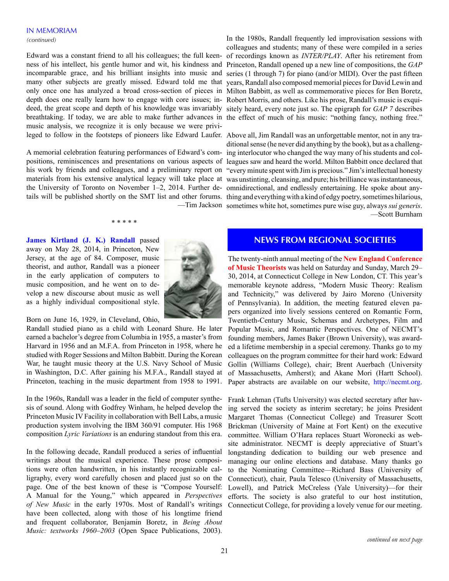Edward was a constant friend to all his colleagues; the full keenness of his intellect, his gentle humor and wit, his kindness and Princeton, Randall opened up a new line of compositions, the *GAP* incomparable grace, and his brilliant insights into music and series (1 through 7) for piano (and/or MIDI). Over the past fifteen many other subjects are greatly missed. Edward told me that years, Randall also composed memorial pieces for David Lewin and only once one has analyzed a broad cross-section of pieces in Milton Babbitt, as well as commemorative pieces for Ben Boretz, depth does one really learn how to engage with core issues; in-Robert Morris, and others. Like his prose, Randall's music is exquideed, the great scope and depth of his knowledge was invariably sitely heard, every note just so. The epigraph for *GAP 7* describes breathtaking. If today, we are able to make further advances in the effect of much of his music: "nothing fancy, nothing free." music analysis, we recognize it is only because we were privi-

A memorial celebration featuring performances of Edward's comthe University of Toronto on November 1–2, 2014. Further de-omnidirectional, and endlessly entertaining. He spoke about any-

#### \* \* \* \* \*

**James Kirtland (J. K.) Randall** passed away on May 28, 2014, in Princeton, New Jersey, at the age of 84. Composer, music theorist, and author, Randall was a pioneer in the early application of computers to music composition, and he went on to develop a new discourse about music as well as a highly individual compositional style.

Born on June 16, 1929, in Cleveland, Ohio,

Randall studied piano as a child with Leonard Shure. He later earned a bachelor's degree from Columbia in 1955, a master's from Harvard in 1956 and an M.F.A. from Princeton in 1958, where he studied with Roger Sessions and Milton Babbitt. During the Korean War, he taught music theory at the U.S. Navy School of Music in Washington, D.C. After gaining his M.F.A., Randall stayed at Princeton, teaching in the music department from 1958 to 1991.

In the 1960s, Randall was a leader in the field of computer synthesis of sound. Along with Godfrey Winham, he helped develop the Princeton Music IV Facility in collaboration with Bell Labs, a music production system involving the IBM 360/91 computer. His 1968 composition *Lyric Variations* is an enduring standout from this era.

In the following decade, Randall produced a series of influential writings about the musical experience. These prose compositions were often handwritten, in his instantly recognizable calligraphy, every word carefully chosen and placed just so on the page. One of the best known of these is "Compose Yourself: A Manual for the Young," which appeared in *Perspectives of New Music* in the early 1970s. Most of Randall's writings have been collected, along with those of his longtime friend and frequent collaborator, Benjamin Boretz, in *Being About Music: textworks 1960–2003* (Open Space Publications, 2003).



In the 1980s, Randall frequently led improvisation sessions with colleagues and students; many of these were compiled in a series of recordings known as *INTER/PLAY*. After his retirement from

leged to follow in the footsteps of pioneers like Edward Laufer. Above all, Jim Randall was an unforgettable mentor, not in any trapositions, reminiscences and presentations on various aspects of leagues saw and heard the world. Milton Babbitt once declared that his work by friends and colleagues, and a preliminary report on "every minute spent with Jim is precious." Jim's intellectual honesty materials from his extensive analytical legacy will take place at was unstinting, cleansing, and pure; his brilliance was instantaneous, tails will be published shortly on the SMT list and other forums. thing and everything with a kind of edgy poetry, sometimes hilarious, —Tim Jackson sometimes white hot, sometimes pure wise guy, always *sui generis*. ditional sense (he never did anything by the book), but as a challenging interlocutor who changed the way many of his students and col-—Scott Burnham

# **NEWS FROM REGIONAL SOCIETIES**

The twenty-ninth annual meeting of the **New England Conference of Music Theorists** was held on Saturday and Sunday, March 29– 30, 2014, at Connecticut College in New London, CT. This year's memorable keynote address, "Modern Music Theory: Realism and Technicity," was delivered by Jairo Moreno (University of Pennsylvania). In addition, the meeting featured eleven papers organized into lively sessions centered on Romantic Form, Twentieth-Century Music, Schemas and Archetypes, Film and Popular Music, and Romantic Perspectives. One of NECMT's founding members, James Baker (Brown University), was awarded a lifetime membership in a special ceremony. Thanks go to my colleagues on the program committee for their hard work: Edward Gollin (Williams College), chair; Brent Auerbach (University of Massachusetts, Amherst); and Akane Mori (Hartt School). Paper abstracts are available on our website, [http://necmt.org.](http://necmt.org)

Frank Lehman (Tufts University) was elected secretary after having served the society as interim secretary; he joins President Margaret Thomas (Connecticut College) and Treasurer Scott Brickman (University of Maine at Fort Kent) on the executive committee. William O'Hara replaces Stuart Woronecki as website administrator. NECMT is deeply appreciative of Stuart's longstanding dedication to building our web presence and managing our online elections and database. Many thanks go to the Nominating Committee—Richard Bass (University of Connecticut), chair, Paula Telesco (University of Massachusetts, Lowell), and Patrick McCreless (Yale University)—for their efforts. The society is also grateful to our host institution, Connecticut College, for providing a lovely venue for our meeting.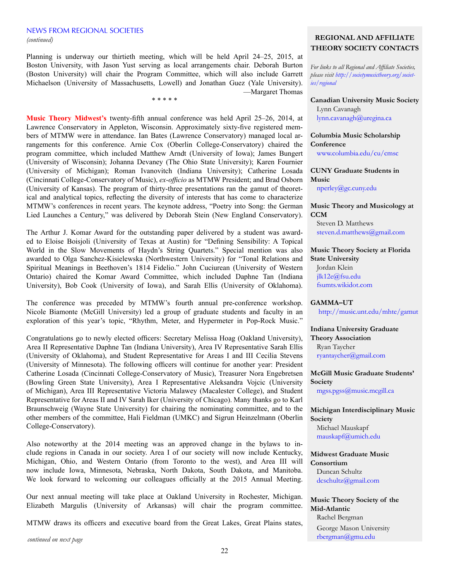## NEWS FROM REGIONAL SOCIETIES *(continued)* **REGIONAL AND AFFILIATE**

Planning is underway our thirtieth meeting, which will be held April 24–25, 2015, at Boston University, with Jason Yust serving as local arrangements chair. Deborah Burton (Boston University) will chair the Program Committee, which will also include Garrett Michaelson (University of Massachusetts, Lowell) and Jonathan Guez (Yale University). —Margaret Thomas

\* \* \* \* \*

**Music Theory Midwest's** twenty-fifth annual conference was held April 25–26, 2014, at Lawrence Conservatory in Appleton, Wisconsin. Approximately sixty-five registered members of MTMW were in attendance. Ian Bates (Lawrence Conservatory) managed local arrangements for this conference. Arnie Cox (Oberlin College-Conservatory) chaired the program committee, which included Matthew Arndt (University of Iowa); James Bungert (University of Wisconsin); Johanna Devaney (The Ohio State University); Karen Fournier (University of Michigan); Roman Ivanovitch (Indiana University); Catherine Losada (Cincinnati College-Conservatory of Music), *ex-officio* as MTMW President; and Brad Osborn (University of Kansas). The program of thirty-three presentations ran the gamut of theoretical and analytical topics, reflecting the diversity of interests that has come to characterize MTMW's conferences in recent years. The keynote address, "Poetry into Song: the German Lied Launches a Century," was delivered by Deborah Stein (New England Conservatory).

The Arthur J. Komar Award for the outstanding paper delivered by a student was awarded to Eloise Boisjoli (University of Texas at Austin) for "Defining Sensibility: A Topical World in the Slow Movements of Haydn's String Quartets." Special mention was also awarded to Olga Sanchez-Kisielewska (Northwestern University) for "Tonal Relations and Spiritual Meanings in Beethoven's 1814 Fidelio." John Cuciurean (University of Western Ontario) chaired the Komar Award Committee, which included Daphne Tan (Indiana University), Bob Cook (University of Iowa), and Sarah Ellis (University of Oklahoma).

The conference was preceded by MTMW's fourth annual pre-conference workshop. Nicole Biamonte (McGill University) led a group of graduate students and faculty in an exploration of this year's topic, "Rhythm, Meter, and Hypermeter in Pop-Rock Music."

Congratulations go to newly elected officers: Secretary Melissa Hoag (Oakland University), Area II Representative Daphne Tan (Indiana University), Area IV Representative Sarah Ellis (University of Oklahoma), and Student Representative for Areas I and III Cecilia Stevens (University of Minnesota). The following officers will continue for another year: President Catherine Losada (Cincinnati College-Conservatory of Music), Treasurer Nora Engebretsen (Bowling Green State University), Area I Representative Aleksandra Vojcic (University of Michigan), Area III Representative Victoria Malawey (Macalester College), and Student Representative for Areas II and IV Sarah Iker (University of Chicago). Many thanks go to Karl Braunschweig (Wayne State University) for chairing the nominating committee, and to the other members of the committee, Hali Fieldman (UMKC) and Sigrun Heinzelmann (Oberlin College-Conservatory).

Also noteworthy at the 2014 meeting was an approved change in the bylaws to include regions in Canada in our society. Area I of our society will now include Kentucky, Michigan, Ohio, and Western Ontario (from Toronto to the west), and Area III will now include Iowa, Minnesota, Nebraska, North Dakota, South Dakota, and Manitoba. We look forward to welcoming our colleagues officially at the 2015 Annual Meeting.

Our next annual meeting will take place at Oakland University in Rochester, Michigan. Elizabeth Margulis (University of Arkansas) will chair the program committee.

MTMW draws its officers and executive board from the Great Lakes, Great Plains states,

*continued on next page*

# **THEORY SOCIETY CONTACTS**

*For links to all Regional and Affiliate Societies, please visit [http://societymusictheory.org/societ]( http://societymusictheory.org/societies/regional )[ies/regional]( http://societymusictheory.org/societies/regional )* 

**Canadian University Music Society** Lynn Cavanagh [lynn.cavanagh@uregina.ca](mailto:lynn.cavanagh%40uregina.ca%20?subject=)

# **Columbia Music Scholarship Conference**

[www.columbia.edu/cu/cmsc](www.columbia.edu/cu/cmsc )

# **CUNY Graduate Students in Music**

[nperley@gc.cuny.edu](mailto:nperley%40gc.cuny.edu?subject=)

# **Music Theory and Musicology at CCM**

Steven D. Matthews [steven.d.matthews@gmail.com](mailto:steven.d.matthews%40gmail.com?subject=)

# **Music Theory Society at Florida State University**

Jordan Klein jlk12e[@fsu.edu](mailto:apg09d%40fsu.edu%20%20?subject=)  [fsumts.wikidot.com](fsumts.wikidot.com )

# **GAMMA–UT**

http://music.unt.edu/mhte/gamu[t](mailto:gamma-ut%40austin.utexas.edu%20?subject=)

# **Indiana University Graduate**

**Theory Association** Ryan Taycher ryantaycher@gmail.com

# **McGill Music Graduate Students' Society**

[mgss.pgss@music.mcgill.ca](mailto:mgss.pgss%40music.mcgill.ca%20?subject=)

# **Michigan Interdisciplinary Music Society**

Michael Mauskapf [mauskapf@umich.edu](mailto:mauskapf%40umich.edu?subject=)

# **Midwest Graduate Music Consortium** Duncan Schultz

dcschultz@gmail.com

# **Music Theory Society of the Mid-Atlantic** Rachel Bergman

George Mason University [rbergman@gmu.edu](mailto:rbergman%40gmu.edu%20?subject=)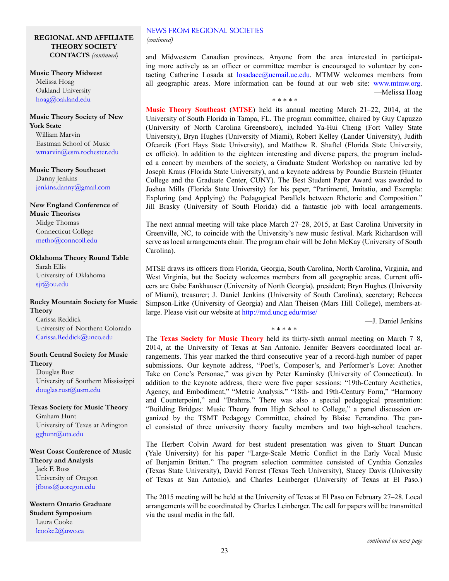# NEWS FROM REGIONAL SOCIETIES

*(continued)*

# **REGIONAL AND AFFILIATE THEORY SOCIETY CONTACTS** *(continued)*

**Music Theory Midwest** Melissa Hoag Oakland University [hoag@oakland.edu](mailto:hoag%40oakland.edu%20?subject=)

# **Music Theory Society of New York State**

William Marvin Eastman School of Music wmarvi[n@esm.rochester.edu](mailto:jdunsby%40esm.rochester.edu%20?subject=)

**Music Theory Southeast** Danny Jenkins jenkins.danny@gmail.com

# **New England Conference of Music Theorists** Midge Thomas

Connecticut College metho@conncoll.edu

# **Oklahoma Theory Round Table** Sarah Ellis University of Oklahoma

sj[r@ou.edu](mailto:kstephenson%40ou.edu%20?subject=)

# **Rocky Mountain Society for Music Theory**

Carissa Reddick University of Northern Colorado Carissa.Reddick@unco.edu

# **South Central Society for Music Theory**

Douglas Rust University of Southern Mississippi douglas.rust@usm.ed[u](mailto:atheisen%40mhc.edu%20?subject=)

**Texas Society for Music Theory** Graham Hunt University of Texas at Arlington [gghunt@uta.edu](mailto:gghunt%40uta.edu%20?subject=)

**West Coast Conference of Music Theory and Analysis** Jack F. Boss University of Oregon [jfboss@uoregon.edu](mailto:jfboss%40uoregon.edu%20?subject=)

**Western Ontario Graduate Student Symposium** Laura Cooke [lcooke2@uwo.ca](mailto:lcooke2%40uwo.ca?subject=)

and Midwestern Canadian provinces. Anyone from the area interested in participating more actively as an officer or committee member is encouraged to volunteer by contacting Catherine Losada at  $losadacc@ucmail.uc.edu$ . MTMW welcomes members from all geographic areas. More information can be found at our web site: [www.mtmw.org.](www.mtmw.org) —Melissa Hoag \* \* \* \* \*

**Music Theory Southeast** (**MTSE**) held its annual meeting March 21–22, 2014, at the University of South Florida in Tampa, FL. The program committee, chaired by Guy Capuzzo (University of North Carolina–Greensboro), included Ya-Hui Cheng (Fort Valley State University), Bryn Hughes (University of Miami), Robert Kelley (Lander University), Judith Ofcarcik (Fort Hays State University), and Matthew R. Shaftel (Florida State University, ex officio). In addition to the eighteen interesting and diverse papers, the program included a concert by members of the society, a Graduate Student Workshop on narrative led by Joseph Kraus (Florida State University), and a keynote address by Poundie Burstein (Hunter College and the Graduate Center, CUNY). The Best Student Paper Award was awarded to Joshua Mills (Florida State University) for his paper, "Partimenti, Imitatio, and Exempla: Exploring (and Applying) the Pedagogical Parallels between Rhetoric and Composition." Jill Brasky (University of South Florida) did a fantastic job with local arrangements.

The next annual meeting will take place March 27–28, 2015, at East Carolina University in Greenville, NC, to coincide with the University's new music festival. Mark Richardson will serve as local arrangements chair. The program chair will be John McKay (University of South Carolina).

MTSE draws its officers from Florida, Georgia, South Carolina, North Carolina, Virginia, and West Virginia, but the Society welcomes members from all geographic areas. Current officers are Gabe Fankhauser (University of North Georgia), president; Bryn Hughes (University of Miami), treasurer; J. Daniel Jenkins (University of South Carolina), secretary; Rebecca Simpson-Litke (University of Georgia) and Alan Theisen (Mars Hill College), members-atlarge. Please visit our website at<http://mtd.uncg.edu/mtse/>

\* \* \* \* \*

—J. Daniel Jenkins

The **Texas Society for Music Theory** held its thirty-sixth annual meeting on March 7–8, 2014, at the University of Texas at San Antonio. Jennifer Beavers coordinated local arrangements. This year marked the third consecutive year of a record-high number of paper submissions. Our keynote address, "Poet's, Composer's, and Performer's Love: Another Take on Cone's Personae," was given by Peter Kaminsky (University of Connecticut). In addition to the keynote address, there were five paper sessions: "19th-Century Aesthetics, Agency, and Embodiment," "Metric Analysis," "18th- and 19th-Century Form," "Harmony and Counterpoint," and "Brahms." There was also a special pedagogical presentation: "Building Bridges: Music Theory from High School to College," a panel discussion organized by the TSMT Pedagogy Committee, chaired by Blaise Ferrandino. The panel consisted of three university theory faculty members and two high-school teachers.

The Herbert Colvin Award for best student presentation was given to Stuart Duncan (Yale University) for his paper "Large-Scale Metric Conflict in the Early Vocal Music of Benjamin Britten." The program selection committee consisted of Cynthia Gonzales (Texas State University), David Forrest (Texas Tech University), Stacey Davis (University of Texas at San Antonio), and Charles Leinberger (University of Texas at El Paso.)

The 2015 meeting will be held at the University of Texas at El Paso on February 27–28. Local arrangements will be coordinated by Charles Leinberger. The call for papers will be transmitted via the usual media in the fall.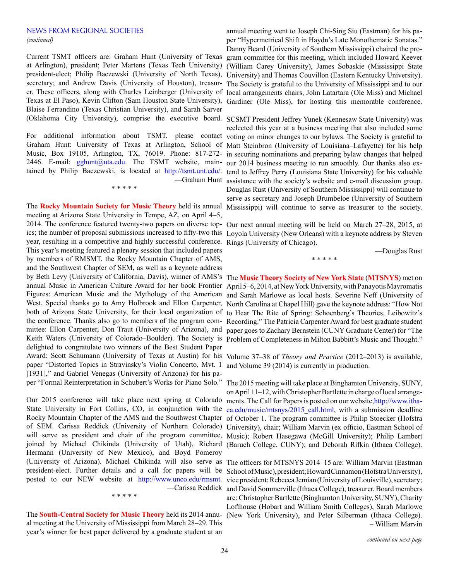### NEWS FROM REGIONAL SOCIETIES *(continued)*

Texas at El Paso), Kevin Clifton (Sam Houston State University), Gardiner (Ole Miss), for hosting this memorable conference. Blaise Ferrandino (Texas Christian University), and Sarah Sarver

For additional information about TSMT, please contact voting on minor changes to our bylaws. The Society is grateful to Graham Hunt: University of Texas at Arlington, School of Matt Steinbron (University of Louisiana–Lafayette) for his help Music, Box 19105, Arlington, TX, 76019. Phone: 817-272- in securing nominations and preparing bylaw changes that helped 2446. E-mail: [gghunt@uta.edu.](gghunt%40uta.edu) The TSMT website, main- our 2014 business meeting to run smoothly. Our thanks also extained by Philip Baczewski, is located at <http://tsmt.unt.edu/>. tend to Jeffrey Perry (Louisiana State University) for his valuable

\* \* \* \* \*

The **Rocky Mountain Society for Music Theory** held its annual meeting at Arizona State University in Tempe, AZ, on April 4–5, 2014. The conference featured twenty-two papers on diverse topyear, resulting in a competitive and highly successful conference. This year's meeting featured a plenary session that included papers by members of RMSMT, the Rocky Mountain Chapter of AMS, and the Southwest Chapter of SEM, as well as a keynote address by Beth Levy (University of California, Davis), winner of AMS's The **Music Theory Society of New York State** (**MTSNYS**) met on annual Music in American Culture Award for her book Frontier Figures: American Music and the Mythology of the American West. Special thanks go to Amy Holbrook and Ellon Carpenter, both of Arizona State University, for their local organization of the conference. Thanks also go to members of the program committee: Ellon Carpenter, Don Traut (University of Arizona), and Keith Waters (University of Colorado–Boulder). The Society is Problem of Completeness in Milton Babbitt's Music and Thought." delighted to congratulate two winners of the Best Student Paper Award: Scott Schumann (University of Texas at Austin) for his Volume 37–38 of *Theory and Practice* (2012–2013) is available, paper "Distorted Topics in Stravinsky's Violin Concerto, Mvt. 1 [1931]," and Gabriel Venegas (University of Arizona) for his paper "Formal Reinterpretation in Schubert's Works for Piano Solo."

Our 2015 conference will take place next spring at Colorado State University in Fort Collins, CO, in conjunction with the [ca.edu/music/mtsnys/2015\\_call.html](http://www.ithaca.edu/music/mtsnys/2015_call.html), with a submission deadline Rocky Mountain Chapter of the AMS and the Southwest Chapter of October 1. The program committee is Philip Stoecker (Hofstra of SEM. Carissa Reddick (University of Northern Colorado) University), chair; William Marvin (ex officio, Eastman School of will serve as president and chair of the program committee, Music); Robert Hasegawa (McGill University); Philip Lambert joined by Michael Chikinda (University of Utah), Richard (Baruch College, CUNY); and Deborah Rifkin (Ithaca College). Hermann (University of New Mexico), and Boyd Pomeroy (University of Arizona). Michael Chikinda will also serve as The officers for MTSNYS 2014–15 are: William Marvin (Eastman —Carissa Reddick

\* \* \* \* \*

The **South-Central Society for Music Theory** held its 2014 annual meeting at the University of Mississippi from March 28–29. This year's winner for best paper delivered by a graduate student at an

Current TSMT officers are: Graham Hunt (University of Texas gram committee for this meeting, which included Howard Keever at Arlington), president; Peter Martens (Texas Tech University) (William Carey University), James Sobaskie (Mississippi State president-elect; Philip Baczewski (University of North Texas), University) and Thomas Couvillon (Eastern Kentucky University). secretary; and Andrew Davis (University of Houston), treasur-The Society is grateful to the University of Mississippi and to our er. These officers, along with Charles Leinberger (University of local arrangements chairs, John Latartara (Ole Miss) and Michael annual meeting went to Joseph Chi-Sing Siu (Eastman) for his paper "Hypermetrical Shift in Haydn's Late Monothematic Sonatas." Danny Beard (University of Southern Mississippi) chaired the pro-

(Oklahoma City University), comprise the executive board. SCSMT President Jeffrey Yunek (Kennesaw State University) was —Graham Hunt assistance with the society's website and e-mail discussion group. reelected this year at a business meeting that also included some Douglas Rust (University of Southern Mississippi) will continue to serve as secretary and Joseph Brumbeloe (University of Southern Mississippi) will continue to serve as treasurer to the society.

ics; the number of proposal submissions increased to fifty-two this Loyola University (New Orleans) with a keynote address by Steven Our next annual meeting will be held on March 27–28, 2015, at Rings (University of Chicago).

\* \* \* \* \*

—Douglas Rust

April 5–6, 2014, at New York University, with Panayotis Mavromatis and Sarah Marlowe as local hosts. Severine Neff (University of North Carolina at Chapel Hill) gave the keynote address: "How Not to Hear The Rite of Spring: Schoenberg's Theories, Leibowitz's Recording." The Patricia Carpenter Award for best graduate student paper goes to Zachary Bernstein (CUNY Graduate Center) for "The

and Volume 39 (2014) is currently in production.

The 2015 meeting will take place at Binghamton University, SUNY, on April 11–12, with Christopher Bartlette in charge of local arrangements. The Call for Papers is posted on our website[,http://www.itha-](http://www.ithaca.edu/music/mtsnys/2015_call.html)

president-elect. Further details and a call for papers will be School of Music), president; Howard Cinnamon (Hofstra University), posted to our NEW website at <http://www.unco.edu/rmsmt>. vice president; Rebecca Jemian (University of Louisville), secretary; and David Sommerville (Ithaca College), treasurer. Board members are: Christopher Bartlette (Binghamton University, SUNY), Charity Lofthouse (Hobart and William Smith Colleges), Sarah Marlowe (New York University), and Peter Silberman (Ithaca College). – William Marvin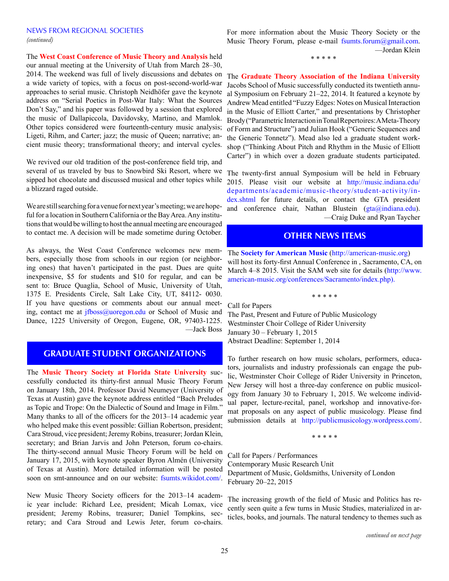# NEWS FROM REGIONAL SOCIETIES *(continued)*

The **West Coast Conference of Music Theory and Analysis** held

our annual meeting at the University of Utah from March 28–30, 2014. The weekend was full of lively discussions and debates on a wide variety of topics, with a focus on post-second-world-war approaches to serial music. Christoph Neidhöfer gave the keynote address on "Serial Poetics in Post-War Italy: What the Sources Don't Say," and his paper was followed by a session that explored the music of Dallapiccola, Davidovsky, Martino, and Mamlok. Other topics considered were fourteenth-century music analysis; Ligeti, Rihm, and Carter; jazz; the music of Queen; narrative; ancient music theory; transformational theory; and interval cycles.

We revived our old tradition of the post-conference field trip, and several of us traveled by bus to Snowbird Ski Resort, where we sipped hot chocolate and discussed musical and other topics while a blizzard raged outside.

We are still searching for a venue for next year's meeting; we are hopeful for a location in Southern California or the Bay Area. Any institutions that would be willing to host the annual meeting are encouraged to contact me. A decision will be made sometime during October.

As always, the West Coast Conference welcomes new members, especially those from schools in our region (or neighboring ones) that haven't participated in the past. Dues are quite inexpensive, \$5 for students and \$10 for regular, and can be sent to: Bruce Quaglia, School of Music, University of Utah, 1375 E. Presidents Circle, Salt Lake City, UT, 84112- 0030. If you have questions or comments about our annual meeting, contact me at [jfboss@uoregon.edu](mailto:jfboss%40uoregon.edu?subject=) or School of Music and Dance, 1225 University of Oregon, Eugene, OR, 97403-1225. —Jack Boss

# **GRADUATE STUDENT ORGANIZATIONS**

The **Music Theory Society at Florida State University** successfully conducted its thirty-first annual Music Theory Forum on January 18th, 2014. Professor David Neumeyer (University of Texas at Austin) gave the keynote address entitled "Bach Preludes as Topic and Trope: On the Dialectic of Sound and Image in Film." Many thanks to all of the officers for the 2013–14 academic year who helped make this event possible: Gillian Robertson, president; Cara Stroud, vice president; Jeremy Robins, treasurer; Jordan Klein, secretary; and Brian Jarvis and John Peterson, forum co-chairs. The thirty-second annual Music Theory Forum will be held on January 17, 2015, with keynote speaker Byron Almén (University of Texas at Austin). More detailed information will be posted soon on smt-announce and on our website: <fsumts.wikidot.com/>.

New Music Theory Society officers for the 2013–14 academic year include: Richard Lee, president; Micah Lomax, vice president; Jeremy Robins, treasurer; Daniel Tompkins, secretary; and Cara Stroud and Lewis Jeter, forum co-chairs.

For more information about the Music Theory Society or the Music Theory Forum, please e-mail [fsumts.forum@gmail.com.](mailto:fsumts.forum%40gmail.com?subject=) —Jordan Klein

\* \* \* \* \*

The **Graduate Theory Association of the Indiana University** Jacobs School of Music successfully conducted its twentieth annual Symposium on February 21–22, 2014. It featured a keynote by Andrew Mead entitled "Fuzzy Edges: Notes on Musical Interaction in the Music of Elliott Carter," and presentations by Christopher Brody ("Parametric Interaction in Tonal Repertoires: A Meta-Theory of Form and Structure") and Julian Hook ("Generic Sequences and the Generic Tonnetz"). Mead also led a graduate student workshop ("Thinking About Pitch and Rhythm in the Music of Elliott Carter") in which over a dozen graduate students participated.

The twenty-first annual Symposium will be held in February 2015. Please visit our website at [http://music.indiana.edu/](http://music.indiana.edu/departments/academic/music-theory/student-activity/index.shtml) [departments/academic/music-theory/student-activity/in](http://music.indiana.edu/departments/academic/music-theory/student-activity/index.shtml)[dex.shtml](http://music.indiana.edu/departments/academic/music-theory/student-activity/index.shtml) for future details, or contact the GTA president and conference chair, Nathan Blustein [\(gta@indiana.edu](mailto:gta%40indiana.edu?subject=)). —Craig Duke and Ryan Taycher

# **OTHER NEWS ITEMS**

The **Society for American Music** (<http://american-music.org>) will host its forty-first Annual Conference in , Sacramento, CA, on March 4–8 2015. Visit the SAM web site for details ([http://www.](http://www.american-music.org/conferences/Sacramento/index.php) [american-music.org/conferences/Sacramento/index.php](http://www.american-music.org/conferences/Sacramento/index.php)).

\* \* \* \* \* Call for Papers The Past, Present and Future of Public Musicology Westminster Choir College of Rider University January 30 – February 1, 2015 Abstract Deadline: September 1, 2014

To further research on how music scholars, performers, educators, journalists and industry professionals can engage the public, Westminster Choir College of Rider University in Princeton, New Jersey will host a three-day conference on public musicology from January 30 to February 1, 2015. We welcome individual paper, lecture-recital, panel, workshop and innovative-format proposals on any aspect of public musicology. Please find submission details at [http://publicmusicology.wordpress.com/.](http://publicmusicology.wordpress.com/)

\* \* \* \* \*

Call for Papers / Performances Contemporary Music Research Unit Department of Music, Goldsmiths, University of London February 20–22, 2015

The increasing growth of the field of Music and Politics has recently seen quite a few turns in Music Studies, materialized in articles, books, and journals. The natural tendency to themes such as